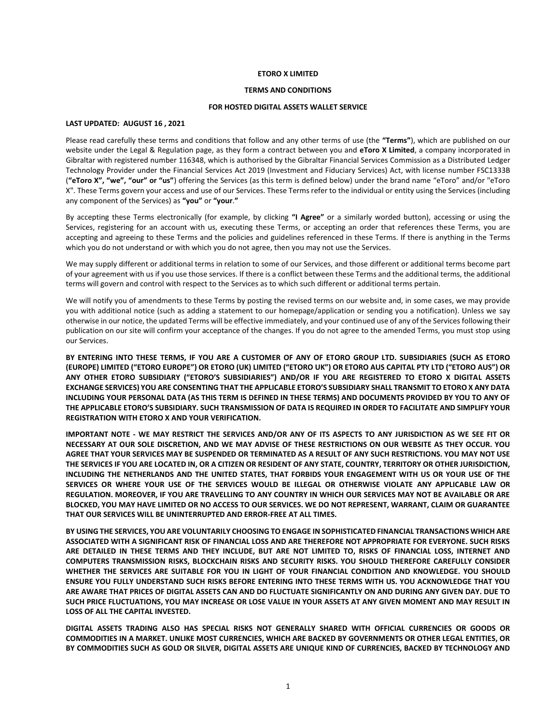#### **ETORO X LIMITED**

#### **TERMS AND CONDITIONS**

## **FOR HOSTED DIGITAL ASSETS WALLET SERVICE**

# **LAST UPDATED: AUGUST 16 , 2021**

Please read carefully these terms and conditions that follow and any other terms of use (the **"Terms"**), which are published on our website under the Legal & Regulation page, as they form a contract between you and **eToro X Limited**, a company incorporated in Gibraltar with registered number 116348, which is authorised by the Gibraltar Financial Services Commission as a Distributed Ledger Technology Provider under the Financial Services Act 2019 (Investment and Fiduciary Services) Act, with license number FSC1333B (**"eToro X", "we", "our" or "us"**) offering the Services (as this term is defined below) under the brand name "eToro" and/or "eToro X". These Terms govern your access and use of our Services. These Terms refer to the individual or entity using the Services (including any component of the Services) as **"you"** or **"your**.**"**

By accepting these Terms electronically (for example, by clicking **"I Agree"** or a similarly worded button), accessing or using the Services, registering for an account with us, executing these Terms, or accepting an order that references these Terms, you are accepting and agreeing to these Terms and the policies and guidelines referenced in these Terms. If there is anything in the Terms which you do not understand or with which you do not agree, then you may not use the Services.

We may supply different or additional terms in relation to some of our Services, and those different or additional terms become part of your agreement with us if you use those services. If there is a conflict between these Terms and the additional terms, the additional terms will govern and control with respect to the Services as to which such different or additional terms pertain.

We will notify you of amendments to these Terms by posting the revised terms on our website and, in some cases, we may provide you with additional notice (such as adding a statement to our homepage/application or sending you a notification). Unless we say otherwise in our notice, the updated Terms will be effective immediately, and your continued use of any of the Services following their publication on our site will confirm your acceptance of the changes. If you do not agree to the amended Terms, you must stop using our Services.

**BY ENTERING INTO THESE TERMS, IF YOU ARE A CUSTOMER OF ANY OF ETORO GROUP LTD. SUBSIDIARIES (SUCH AS ETORO (EUROPE) LIMITED ("ETORO EUROPE") OR ETORO (UK) LIMITED ("ETORO UK") OR ETORO AUS CAPITAL PTY LTD ("ETORO AUS") OR ANY OTHER ETORO SUBSIDIARY ("ETORO'S SUBSIDIARIES") AND/OR IF YOU ARE REGISTERED TO ETORO X DIGITAL ASSETS EXCHANGE SERVICES) YOU ARE CONSENTING THAT THE APPLICABLE ETORO'S SUBSIDIARY SHALL TRANSMIT TO ETORO X ANY DATA INCLUDING YOUR PERSONAL DATA (AS THIS TERM IS DEFINED IN THESE TERMS) AND DOCUMENTS PROVIDED BY YOU TO ANY OF THE APPLICABLE ETORO'S SUBSIDIARY. SUCH TRANSMISSION OF DATA IS REQUIRED IN ORDER TO FACILITATE AND SIMPLIFY YOUR REGISTRATION WITH ETORO X AND YOUR VERIFICATION.** 

**IMPORTANT NOTE - WE MAY RESTRICT THE SERVICES AND/OR ANY OF ITS ASPECTS TO ANY JURISDICTION AS WE SEE FIT OR NECESSARY AT OUR SOLE DISCRETION, AND WE MAY ADVISE OF THESE RESTRICTIONS ON OUR WEBSITE AS THEY OCCUR. YOU AGREE THAT YOUR SERVICES MAY BE SUSPENDED OR TERMINATED AS A RESULT OF ANY SUCH RESTRICTIONS. YOU MAY NOT USE THE SERVICES IF YOU ARE LOCATED IN, OR A CITIZEN OR RESIDENT OF ANY STATE, COUNTRY, TERRITORY OR OTHER JURISDICTION, INCLUDING THE NETHERLANDS AND THE UNITED STATES, THAT FORBIDS YOUR ENGAGEMENT WITH US OR YOUR USE OF THE SERVICES OR WHERE YOUR USE OF THE SERVICES WOULD BE ILLEGAL OR OTHERWISE VIOLATE ANY APPLICABLE LAW OR REGULATION. MOREOVER, IF YOU ARE TRAVELLING TO ANY COUNTRY IN WHICH OUR SERVICES MAY NOT BE AVAILABLE OR ARE BLOCKED, YOU MAY HAVE LIMITED OR NO ACCESS TO OUR SERVICES. WE DO NOT REPRESENT, WARRANT, CLAIM OR GUARANTEE THAT OUR SERVICES WILL BE UNINTERRUPTED AND ERROR-FREE AT ALL TIMES.**

**BY USING THE SERVICES, YOU ARE VOLUNTARILY CHOOSING TO ENGAGE IN SOPHISTICATED FINANCIAL TRANSACTIONS WHICH ARE ASSOCIATED WITH A SIGNIFICANT RISK OF FINANCIAL LOSS AND ARE THEREFORE NOT APPROPRIATE FOR EVERYONE. SUCH RISKS ARE DETAILED IN THESE TERMS AND THEY INCLUDE, BUT ARE NOT LIMITED TO, RISKS OF FINANCIAL LOSS, INTERNET AND COMPUTERS TRANSMISSION RISKS, BLOCKCHAIN RISKS AND SECURITY RISKS. YOU SHOULD THEREFORE CAREFULLY CONSIDER WHETHER THE SERVICES ARE SUITABLE FOR YOU IN LIGHT OF YOUR FINANCIAL CONDITION AND KNOWLEDGE. YOU SHOULD ENSURE YOU FULLY UNDERSTAND SUCH RISKS BEFORE ENTERING INTO THESE TERMS WITH US. YOU ACKNOWLEDGE THAT YOU ARE AWARE THAT PRICES OF DIGITAL ASSETS CAN AND DO FLUCTUATE SIGNIFICANTLY ON AND DURING ANY GIVEN DAY. DUE TO SUCH PRICE FLUCTUATIONS, YOU MAY INCREASE OR LOSE VALUE IN YOUR ASSETS AT ANY GIVEN MOMENT AND MAY RESULT IN LOSS OF ALL THE CAPITAL INVESTED.** 

**DIGITAL ASSETS TRADING ALSO HAS SPECIAL RISKS NOT GENERALLY SHARED WITH OFFICIAL CURRENCIES OR GOODS OR COMMODITIES IN A MARKET. UNLIKE MOST CURRENCIES, WHICH ARE BACKED BY GOVERNMENTS OR OTHER LEGAL ENTITIES, OR BY COMMODITIES SUCH AS GOLD OR SILVER, DIGITAL ASSETS ARE UNIQUE KIND OF CURRENCIES, BACKED BY TECHNOLOGY AND**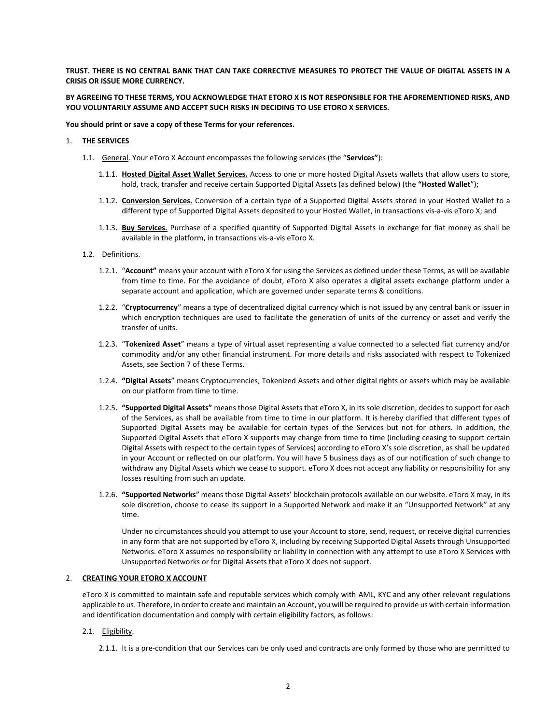**TRUST. THERE IS NO CENTRAL BANK THAT CAN TAKE CORRECTIVE MEASURES TO PROTECT THE VALUE OF DIGITAL ASSETS IN A CRISIS OR ISSUE MORE CURRENCY.**

# **BY AGREEING TO THESE TERMS, YOU ACKNOWLEDGE THAT ETORO X IS NOT RESPONSIBLE FOR THE AFOREMENTIONED RISKS, AND YOU VOLUNTARILY ASSUME AND ACCEPT SUCH RISKS IN DECIDING TO USE ETORO X SERVICES.**

**You should print or save a copy of these Terms for your references.** 

#### 1. **THE SERVICES**

- 1.1. General. Your eToro X Account encompasses the following services (the "**Services"**):
	- 1.1.1. **Hosted Digital Asset Wallet Services.** Access to one or more hosted Digital Assets wallets that allow users to store, hold, track, transfer and receive certain Supported Digital Assets (as defined below) (the **"Hosted Wallet**");
	- 1.1.2. **Conversion Services.** Conversion of a certain type of a Supported Digital Assets stored in your Hosted Wallet to a different type of Supported Digital Assets deposited to your Hosted Wallet, in transactions vis-a-vis eToro X; and
	- 1.1.3. **Buy Services.** Purchase of a specified quantity of Supported Digital Assets in exchange for fiat money as shall be available in the platform, in transactions vis-a-vis eToro X.
- 1.2. Definitions.
	- 1.2.1. "**Account"** means your account with eToro X for using the Services as defined under these Terms, as will be available from time to time. For the avoidance of doubt, eToro X also operates a digital assets exchange platform under a separate account and application, which are governed under separate terms & conditions.
	- 1.2.2. "**Cryptocurrency**" means a type of decentralized digital currency which is not issued by any central bank or issuer in which encryption techniques are used to facilitate the generation of units of the currency or asset and verify the transfer of units.
	- 1.2.3. "**Tokenized Asset**" means a type of virtual asset representing a value connected to a selected fiat currency and/or commodity and/or any other financial instrument. For more details and risks associated with respect to Tokenized Assets, see Section 7 of these Terms.
	- 1.2.4. **"Digital Assets**" means Cryptocurrencies, Tokenized Assets and other digital rights or assets which may be available on our platform from time to time.
	- 1.2.5. **"Supported Digital Assets"** means those Digital Assets that eToro X, in its sole discretion, decides to support for each of the Services, as shall be available from time to time in our platform. It is hereby clarified that different types of Supported Digital Assets may be available for certain types of the Services but not for others. In addition, the Supported Digital Assets that eToro X supports may change from time to time (including ceasing to support certain Digital Assets with respect to the certain types of Services) according to eToro X's sole discretion, as shall be updated in your Account or reflected on our platform. You will have 5 business days as of our notification of such change to withdraw any Digital Assets which we cease to support. eToro X does not accept any liability or responsibility for any losses resulting from such an update.
	- 1.2.6. **"Supported Networks**" means those Digital Assets' blockchain protocols available on our website. eToro X may, in its sole discretion, choose to cease its support in a Supported Network and make it an "Unsupported Network" at any time.

Under no circumstances should you attempt to use your Account to store, send, request, or receive digital currencies in any form that are not supported by eToro X, including by receiving Supported Digital Assets through Unsupported Networks. eToro X assumes no responsibility or liability in connection with any attempt to use eToro X Services with Unsupported Networks or for Digital Assets that eToro X does not support.

## 2. **CREATING YOUR ETORO X ACCOUNT**

eToro X is committed to maintain safe and reputable services which comply with AML, KYC and any other relevant regulations applicable to us. Therefore, in order to create and maintain an Account, you will be required to provide us with certain information and identification documentation and comply with certain eligibility factors, as follows:

- 2.1. Eligibility.
	- 2.1.1. It is a pre-condition that our Services can be only used and contracts are only formed by those who are permitted to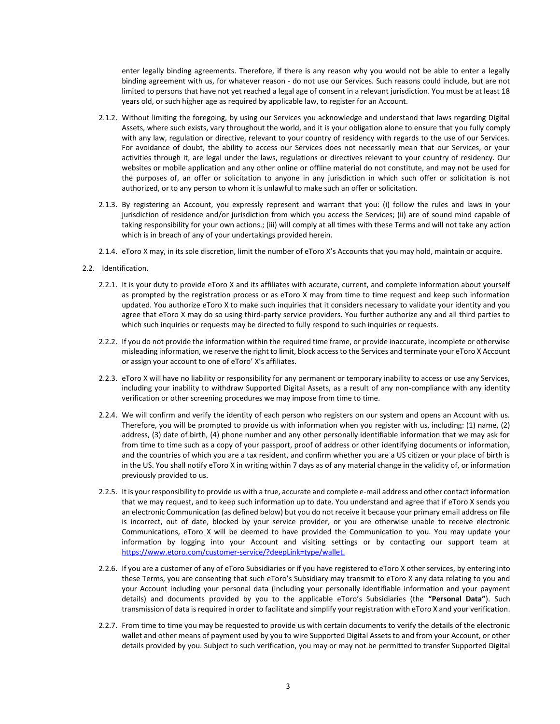enter legally binding agreements. Therefore, if there is any reason why you would not be able to enter a legally binding agreement with us, for whatever reason - do not use our Services. Such reasons could include, but are not limited to persons that have not yet reached a legal age of consent in a relevant jurisdiction. You must be at least 18 years old, or such higher age as required by applicable law, to register for an Account.

- 2.1.2. Without limiting the foregoing, by using our Services you acknowledge and understand that laws regarding Digital Assets, where such exists, vary throughout the world, and it is your obligation alone to ensure that you fully comply with any law, regulation or directive, relevant to your country of residency with regards to the use of our Services. For avoidance of doubt, the ability to access our Services does not necessarily mean that our Services, or your activities through it, are legal under the laws, regulations or directives relevant to your country of residency. Our websites or mobile application and any other online or offline material do not constitute, and may not be used for the purposes of, an offer or solicitation to anyone in any jurisdiction in which such offer or solicitation is not authorized, or to any person to whom it is unlawful to make such an offer or solicitation.
- 2.1.3. By registering an Account, you expressly represent and warrant that you: (i) follow the rules and laws in your jurisdiction of residence and/or jurisdiction from which you access the Services; (ii) are of sound mind capable of taking responsibility for your own actions.; (iii) will comply at all times with these Terms and will not take any action which is in breach of any of your undertakings provided herein.
- 2.1.4. eToro X may, in its sole discretion, limit the number of eToro X's Accounts that you may hold, maintain or acquire.
- 2.2. Identification.
	- 2.2.1. It is your duty to provide eToro X and its affiliates with accurate, current, and complete information about yourself as prompted by the registration process or as eToro X may from time to time request and keep such information updated. You authorize eToro X to make such inquiries that it considers necessary to validate your identity and you agree that eToro X may do so using third-party service providers. You further authorize any and all third parties to which such inquiries or requests may be directed to fully respond to such inquiries or requests.
	- 2.2.2. If you do not provide the information within the required time frame, or provide inaccurate, incomplete or otherwise misleading information, we reserve the right to limit, block access to the Services and terminate your eToro X Account or assign your account to one of eToro' X's affiliates.
	- 2.2.3. eToro X will have no liability or responsibility for any permanent or temporary inability to access or use any Services, including your inability to withdraw Supported Digital Assets, as a result of any non-compliance with any identity verification or other screening procedures we may impose from time to time.
	- 2.2.4. We will confirm and verify the identity of each person who registers on our system and opens an Account with us. Therefore, you will be prompted to provide us with information when you register with us, including: (1) name, (2) address, (3) date of birth, (4) phone number and any other personally identifiable information that we may ask for from time to time such as a copy of your passport, proof of address or other identifying documents or information, and the countries of which you are a tax resident, and confirm whether you are a US citizen or your place of birth is in the US. You shall notify eToro X in writing within 7 days as of any material change in the validity of, or information previously provided to us.
	- 2.2.5. It is your responsibility to provide us with a true, accurate and complete e-mail address and other contact information that we may request, and to keep such information up to date. You understand and agree that if eToro X sends you an electronic Communication (as defined below) but you do not receive it because your primary email address on file is incorrect, out of date, blocked by your service provider, or you are otherwise unable to receive electronic Communications, eToro X will be deemed to have provided the Communication to you. You may update your information by logging into your Account and visiting settings or by contacting our support team at [https://www.etoro.com/customer-service/?deepLink=type/wallet.](https://www.google.com/url?q=https://www.etoro.com/customer-service/?deepLink%3Dtype/wallet&sa=D&source=hangouts&ust=1547041971520000&usg=AFQjCNGO-sBISCiUtfQhhkTr-M0KgxVUnw)
	- 2.2.6. If you are a customer of any of eToro Subsidiaries or if you have registered to eToro X other services, by entering into these Terms, you are consenting that such eToro's Subsidiary may transmit to eToro X any data relating to you and your Account including your personal data (including your personally identifiable information and your payment details) and documents provided by you to the applicable eToro's Subsidiaries (the **"Personal Data"**). Such transmission of data is required in order to facilitate and simplify your registration with eToro X and your verification.
	- 2.2.7. From time to time you may be requested to provide us with certain documents to verify the details of the electronic wallet and other means of payment used by you to wire Supported Digital Assets to and from your Account, or other details provided by you. Subject to such verification, you may or may not be permitted to transfer Supported Digital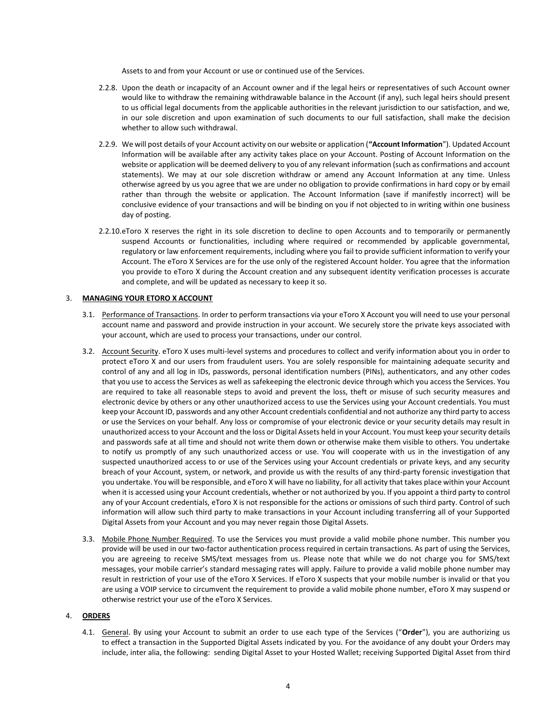Assets to and from your Account or use or continued use of the Services.

- 2.2.8. Upon the death or incapacity of an Account owner and if the legal heirs or representatives of such Account owner would like to withdraw the remaining withdrawable balance in the Account (if any), such legal heirs should present to us official legal documents from the applicable authorities in the relevant jurisdiction to our satisfaction, and we, in our sole discretion and upon examination of such documents to our full satisfaction, shall make the decision whether to allow such withdrawal.
- 2.2.9. We will post details of your Account activity on our website or application (**"Account Information**"). Updated Account Information will be available after any activity takes place on your Account. Posting of Account Information on the website or application will be deemed delivery to you of any relevant information (such as confirmations and account statements). We may at our sole discretion withdraw or amend any Account Information at any time. Unless otherwise agreed by us you agree that we are under no obligation to provide confirmations in hard copy or by email rather than through the website or application. The Account Information (save if manifestly incorrect) will be conclusive evidence of your transactions and will be binding on you if not objected to in writing within one business day of posting.
- 2.2.10.eToro X reserves the right in its sole discretion to decline to open Accounts and to temporarily or permanently suspend Accounts or functionalities, including where required or recommended by applicable governmental, regulatory or law enforcement requirements, including where you fail to provide sufficient information to verify your Account. The eToro X Services are for the use only of the registered Account holder. You agree that the information you provide to eToro X during the Account creation and any subsequent identity verification processes is accurate and complete, and will be updated as necessary to keep it so.

## 3. **MANAGING YOUR ETORO X ACCOUNT**

- 3.1. Performance of Transactions. In order to perform transactions via your eToro X Account you will need to use your personal account name and password and provide instruction in your account. We securely store the private keys associated with your account, which are used to process your transactions, under our control.
- 3.2. Account Security. eToro X uses multi-level systems and procedures to collect and verify information about you in order to protect eToro X and our users from fraudulent users. You are solely responsible for maintaining adequate security and control of any and all log in IDs, passwords, personal identification numbers (PINs), authenticators, and any other codes that you use to access the Services as well as safekeeping the electronic device through which you access the Services. You are required to take all reasonable steps to avoid and prevent the loss, theft or misuse of such security measures and electronic device by others or any other unauthorized access to use the Services using your Account credentials. You must keep your Account ID, passwords and any other Account credentials confidential and not authorize any third party to access or use the Services on your behalf. Any loss or compromise of your electronic device or your security details may result in unauthorized access to your Account and the loss or Digital Assets held in your Account. You must keep your security details and passwords safe at all time and should not write them down or otherwise make them visible to others. You undertake to notify us promptly of any such unauthorized access or use. You will cooperate with us in the investigation of any suspected unauthorized access to or use of the Services using your Account credentials or private keys, and any security breach of your Account, system, or network, and provide us with the results of any third-party forensic investigation that you undertake. You will be responsible, and eToro X will have no liability, for all activity that takes place within your Account when it is accessed using your Account credentials, whether or not authorized by you. If you appoint a third party to control any of your Account credentials, eToro X is not responsible for the actions or omissions of such third party. Control of such information will allow such third party to make transactions in your Account including transferring all of your Supported Digital Assets from your Account and you may never regain those Digital Assets.
- 3.3. Mobile Phone Number Required. To use the Services you must provide a valid mobile phone number. This number you provide will be used in our two-factor authentication process required in certain transactions. As part of using the Services, you are agreeing to receive SMS/text messages from us. Please note that while we do not charge you for SMS/text messages, your mobile carrier's standard messaging rates will apply. Failure to provide a valid mobile phone number may result in restriction of your use of the eToro X Services. If eToro X suspects that your mobile number is invalid or that you are using a VOIP service to circumvent the requirement to provide a valid mobile phone number, eToro X may suspend or otherwise restrict your use of the eToro X Services.

## 4. **ORDERS**

4.1. General. By using your Account to submit an order to use each type of the Services ("**Order**"), you are authorizing us to effect a transaction in the Supported Digital Assets indicated by you. For the avoidance of any doubt your Orders may include, inter alia, the following: sending Digital Asset to your Hosted Wallet; receiving Supported Digital Asset from third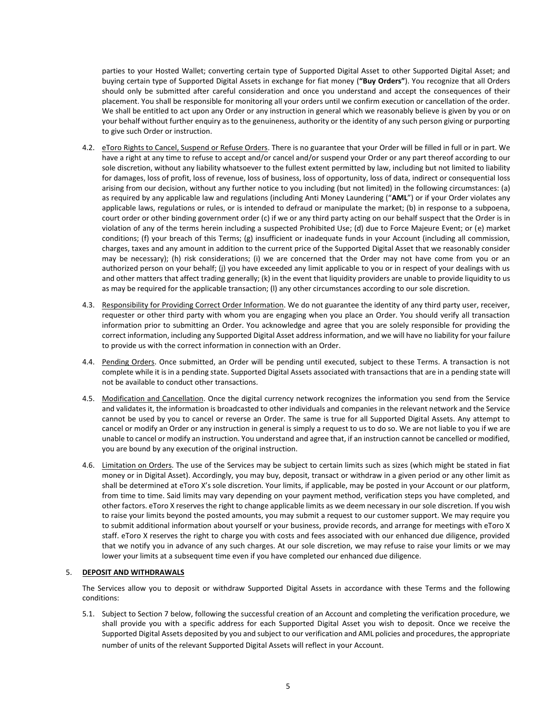parties to your Hosted Wallet; converting certain type of Supported Digital Asset to other Supported Digital Asset; and buying certain type of Supported Digital Assets in exchange for fiat money (**"Buy Orders"**). You recognize that all Orders should only be submitted after careful consideration and once you understand and accept the consequences of their placement. You shall be responsible for monitoring all your orders until we confirm execution or cancellation of the order. We shall be entitled to act upon any Order or any instruction in general which we reasonably believe is given by you or on your behalf without further enquiry as to the genuineness, authority or the identity of any such person giving or purporting to give such Order or instruction.

- 4.2. eToro Rights to Cancel, Suspend or Refuse Orders. There is no guarantee that your Order will be filled in full or in part. We have a right at any time to refuse to accept and/or cancel and/or suspend your Order or any part thereof according to our sole discretion, without any liability whatsoever to the fullest extent permitted by law, including but not limited to liability for damages, loss of profit, loss of revenue, loss of business, loss of opportunity, loss of data, indirect or consequential loss arising from our decision, without any further notice to you including (but not limited) in the following circumstances: (a) as required by any applicable law and regulations (including Anti Money Laundering ("**AML**") or if your Order violates any applicable laws, regulations or rules, or is intended to defraud or manipulate the market; (b) in response to a subpoena, court order or other binding government order (c) if we or any third party acting on our behalf suspect that the Order is in violation of any of the terms herein including a suspected Prohibited Use; (d) due to Force Majeure Event; or (e) market conditions; (f) your breach of this Terms; (g) insufficient or inadequate funds in your Account (including all commission, charges, taxes and any amount in addition to the current price of the Supported Digital Asset that we reasonably consider may be necessary); (h) risk considerations; (i) we are concerned that the Order may not have come from you or an authorized person on your behalf; (j) you have exceeded any limit applicable to you or in respect of your dealings with us and other matters that affect trading generally; (k) in the event that liquidity providers are unable to provide liquidity to us as may be required for the applicable transaction; (I) any other circumstances according to our sole discretion.
- 4.3. Responsibility for Providing Correct Order Information. We do not guarantee the identity of any third party user, receiver, requester or other third party with whom you are engaging when you place an Order. You should verify all transaction information prior to submitting an Order. You acknowledge and agree that you are solely responsible for providing the correct information, including any Supported Digital Asset address information, and we will have no liability for your failure to provide us with the correct information in connection with an Order.
- 4.4. Pending Orders. Once submitted, an Order will be pending until executed, subject to these Terms. A transaction is not complete while it is in a pending state. Supported Digital Assets associated with transactions that are in a pending state will not be available to conduct other transactions.
- 4.5. Modification and Cancellation. Once the digital currency network recognizes the information you send from the Service and validates it, the information is broadcasted to other individuals and companies in the relevant network and the Service cannot be used by you to cancel or reverse an Order. The same is true for all Supported Digital Assets. Any attempt to cancel or modify an Order or any instruction in general is simply a request to us to do so. We are not liable to you if we are unable to cancel or modify an instruction. You understand and agree that, if an instruction cannot be cancelled or modified, you are bound by any execution of the original instruction.
- 4.6. Limitation on Orders. The use of the Services may be subject to certain limits such as sizes (which might be stated in fiat money or in Digital Asset). Accordingly, you may buy, deposit, transact or withdraw in a given period or any other limit as shall be determined at eToro X's sole discretion. Your limits, if applicable, may be posted in your Account or our platform, from time to time. Said limits may vary depending on your payment method, verification steps you have completed, and other factors. eToro X reserves the right to change applicable limits as we deem necessary in our sole discretion. If you wish to raise your limits beyond the posted amounts, you may submit a request to our customer support. We may require you to submit additional information about yourself or your business, provide records, and arrange for meetings with eToro X staff. eToro X reserves the right to charge you with costs and fees associated with our enhanced due diligence, provided that we notify you in advance of any such charges. At our sole discretion, we may refuse to raise your limits or we may lower your limits at a subsequent time even if you have completed our enhanced due diligence.

## 5. **DEPOSIT AND WITHDRAWALS**

The Services allow you to deposit or withdraw Supported Digital Assets in accordance with these Terms and the following conditions:

5.1. Subject to Section 7 below, following the successful creation of an Account and completing the verification procedure, we shall provide you with a specific address for each Supported Digital Asset you wish to deposit. Once we receive the Supported Digital Assets deposited by you and subject to our verification and AML policies and procedures, the appropriate number of units of the relevant Supported Digital Assets will reflect in your Account.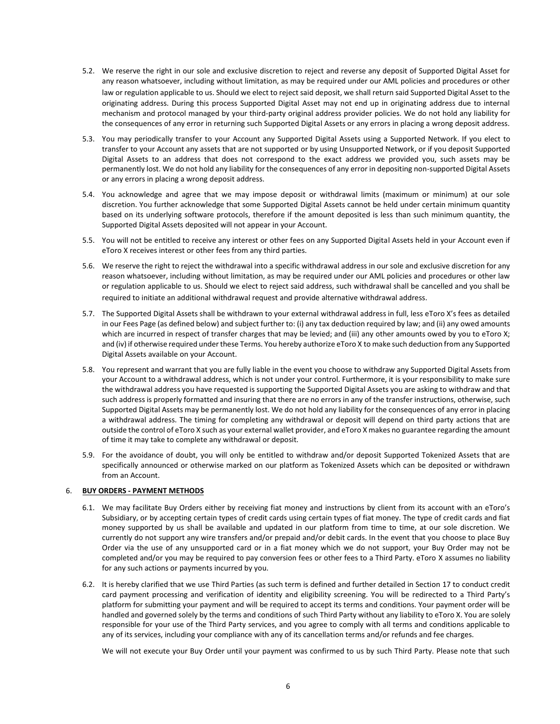- 5.2. We reserve the right in our sole and exclusive discretion to reject and reverse any deposit of Supported Digital Asset for any reason whatsoever, including without limitation, as may be required under our AML policies and procedures or other law or regulation applicable to us. Should we elect to reject said deposit, we shall return said Supported Digital Asset to the originating address. During this process Supported Digital Asset may not end up in originating address due to internal mechanism and protocol managed by your third-party original address provider policies. We do not hold any liability for the consequences of any error in returning such Supported Digital Assets or any errors in placing a wrong deposit address.
- 5.3. You may periodically transfer to your Account any Supported Digital Assets using a Supported Network. If you elect to transfer to your Account any assets that are not supported or by using Unsupported Network, or if you deposit Supported Digital Assets to an address that does not correspond to the exact address we provided you, such assets may be permanently lost. We do not hold any liability for the consequences of any error in depositing non-supported Digital Assets or any errors in placing a wrong deposit address.
- 5.4. You acknowledge and agree that we may impose deposit or withdrawal limits (maximum or minimum) at our sole discretion. You further acknowledge that some Supported Digital Assets cannot be held under certain minimum quantity based on its underlying software protocols, therefore if the amount deposited is less than such minimum quantity, the Supported Digital Assets deposited will not appear in your Account.
- 5.5. You will not be entitled to receive any interest or other fees on any Supported Digital Assets held in your Account even if eToro X receives interest or other fees from any third parties.
- 5.6. We reserve the right to reject the withdrawal into a specific withdrawal address in our sole and exclusive discretion for any reason whatsoever, including without limitation, as may be required under our AML policies and procedures or other law or regulation applicable to us. Should we elect to reject said address, such withdrawal shall be cancelled and you shall be required to initiate an additional withdrawal request and provide alternative withdrawal address.
- 5.7. The Supported Digital Assets shall be withdrawn to your external withdrawal address in full, less eToro X's fees as detailed in our Fees Page (as defined below) and subject further to: (i) any tax deduction required by law; and (ii) any owed amounts which are incurred in respect of transfer charges that may be levied; and (iii) any other amounts owed by you to eToro X; and (iv) if otherwise required under these Terms. You hereby authorize eToro X to make such deduction from any Supported Digital Assets available on your Account.
- 5.8. You represent and warrant that you are fully liable in the event you choose to withdraw any Supported Digital Assets from your Account to a withdrawal address, which is not under your control. Furthermore, it is your responsibility to make sure the withdrawal address you have requested is supporting the Supported Digital Assets you are asking to withdraw and that such address is properly formatted and insuring that there are no errors in any of the transfer instructions, otherwise, such Supported Digital Assets may be permanently lost. We do not hold any liability for the consequences of any error in placing a withdrawal address. The timing for completing any withdrawal or deposit will depend on third party actions that are outside the control of eToro X such as your external wallet provider, and eToro X makes no guarantee regarding the amount of time it may take to complete any withdrawal or deposit.
- 5.9. For the avoidance of doubt, you will only be entitled to withdraw and/or deposit Supported Tokenized Assets that are specifically announced or otherwise marked on our platform as Tokenized Assets which can be deposited or withdrawn from an Account.

# 6. **BUY ORDERS - PAYMENT METHODS**

- 6.1. We may facilitate Buy Orders either by receiving fiat money and instructions by client from its account with an eToro's Subsidiary, or by accepting certain types of credit cards using certain types of fiat money. The type of credit cards and fiat money supported by us shall be available and updated in our platform from time to time, at our sole discretion. We currently do not support any wire transfers and/or prepaid and/or debit cards. In the event that you choose to place Buy Order via the use of any unsupported card or in a fiat money which we do not support, your Buy Order may not be completed and/or you may be required to pay conversion fees or other fees to a Third Party. eToro X assumes no liability for any such actions or payments incurred by you.
- 6.2. It is hereby clarified that we use Third Parties (as such term is defined and further detailed in Section 17 to conduct credit card payment processing and verification of identity and eligibility screening. You will be redirected to a Third Party's platform for submitting your payment and will be required to accept its terms and conditions. Your payment order will be handled and governed solely by the terms and conditions of such Third Party without any liability to eToro X. You are solely responsible for your use of the Third Party services, and you agree to comply with all terms and conditions applicable to any of its services, including your compliance with any of its cancellation terms and/or refunds and fee charges.

We will not execute your Buy Order until your payment was confirmed to us by such Third Party. Please note that such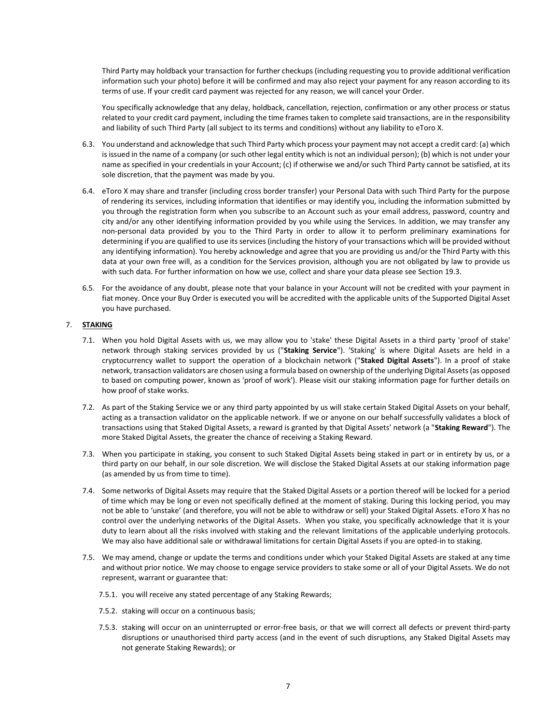Third Party may holdback your transaction for further checkups (including requesting you to provide additional verification information such your photo) before it will be confirmed and may also reject your payment for any reason according to its terms of use. If your credit card payment was rejected for any reason, we will cancel your Order.

You specifically acknowledge that any delay, holdback, cancellation, rejection, confirmation or any other process or status related to your credit card payment, including the time frames taken to complete said transactions, are in the responsibility and liability of such Third Party (all subject to its terms and conditions) without any liability to eToro X.

- 6.3. You understand and acknowledge that such Third Party which process your payment may not accept a credit card: (a) which is issued in the name of a company (or such other legal entity which is not an individual person); (b) which is not under your name as specified in your credentials in your Account; (c) if otherwise we and/or such Third Party cannot be satisfied, at its sole discretion, that the payment was made by you.
- 6.4. eToro X may share and transfer (including cross border transfer) your Personal Data with such Third Party for the purpose of rendering its services, including information that identifies or may identify you, including the information submitted by you through the registration form when you subscribe to an Account such as your email address, password, country and city and/or any other identifying information provided by you while using the Services. In addition, we may transfer any non-personal data provided by you to the Third Party in order to allow it to perform preliminary examinations for determining if you are qualified to use its services (including the history of your transactions which will be provided without any identifying information). You hereby acknowledge and agree that you are providing us and/or the Third Party with this data at your own free will, as a condition for the Services provision, although you are not obligated by law to provide us with such data. For further information on how we use, collect and share your data please see Section 19.3.
- 6.5. For the avoidance of any doubt, please note that your balance in your Account will not be credited with your payment in fiat money. Once your Buy Order is executed you will be accredited with the applicable units of the Supported Digital Asset you have purchased.

# 7. **STAKING**

- 7.1. When you hold Digital Assets with us, we may allow you to 'stake' these Digital Assets in a third party 'proof of stake' network through staking services provided by us ("**Staking Service**"). 'Staking' is where Digital Assets are held in a cryptocurrency wallet to support the operation of a blockchain network ("**Staked Digital Assets**"). In a proof of stake network, transaction validators are chosen using a formula based on ownership of the underlying Digital Assets (as opposed to based on computing power, known as 'proof of work'). Please visit our staking information page for further details on how proof of stake works.
- 7.2. As part of the Staking Service we or any third party appointed by us will stake certain Staked Digital Assets on your behalf, acting as a transaction validator on the applicable network. If we or anyone on our behalf successfully validates a block of transactions using that Staked Digital Assets, a reward is granted by that Digital Assets' network (a "**Staking Reward**"). The more Staked Digital Assets, the greater the chance of receiving a Staking Reward.
- 7.3. When you participate in staking, you consent to such Staked Digital Assets being staked in part or in entirety by us, or a third party on our behalf, in our sole discretion. We will disclose the Staked Digital Assets at our staking information page (as amended by us from time to time).
- 7.4. Some networks of Digital Assets may require that the Staked Digital Assets or a portion thereof will be locked for a period of time which may be long or even not specifically defined at the moment of staking. During this locking period, you may not be able to 'unstake' (and therefore, you will not be able to withdraw or sell) your Staked Digital Assets. eToro X has no control over the underlying networks of the Digital Assets. When you stake, you specifically acknowledge that it is your duty to learn about all the risks involved with staking and the relevant limitations of the applicable underlying protocols. We may also have additional sale or withdrawal limitations for certain Digital Assets if you are opted-in to staking.
- 7.5. We may amend, change or update the terms and conditions under which your Staked Digital Assets are staked at any time and without prior notice. We may choose to engage service providers to stake some or all of your Digital Assets. We do not represent, warrant or guarantee that:
	- 7.5.1. you will receive any stated percentage of any Staking Rewards;
	- 7.5.2. staking will occur on a continuous basis;
	- 7.5.3. staking will occur on an uninterrupted or error-free basis, or that we will correct all defects or prevent third-party disruptions or unauthorised third party access (and in the event of such disruptions, any Staked Digital Assets may not generate Staking Rewards); or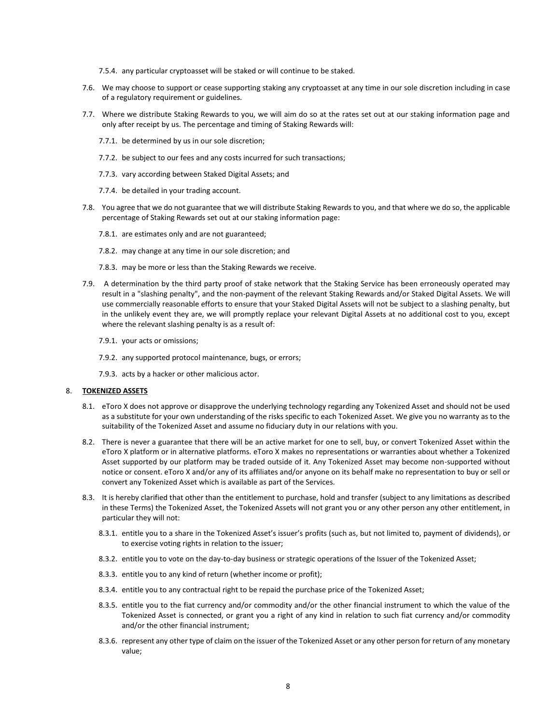- 7.5.4. any particular cryptoasset will be staked or will continue to be staked.
- 7.6. We may choose to support or cease supporting staking any cryptoasset at any time in our sole discretion including in case of a regulatory requirement or guidelines.
- 7.7. Where we distribute Staking Rewards to you, we will aim do so at the rates set out at our staking information page and only after receipt by us. The percentage and timing of Staking Rewards will:
	- 7.7.1. be determined by us in our sole discretion;
	- 7.7.2. be subject to our fees and any costs incurred for such transactions;
	- 7.7.3. vary according between Staked Digital Assets; and
	- 7.7.4. be detailed in your trading account.
- 7.8. You agree that we do not guarantee that we will distribute Staking Rewards to you, and that where we do so, the applicable percentage of Staking Rewards set out at our staking information page:
	- 7.8.1. are estimates only and are not guaranteed;
	- 7.8.2. may change at any time in our sole discretion; and
	- 7.8.3. may be more or less than the Staking Rewards we receive.
- 7.9. A determination by the third party proof of stake network that the Staking Service has been erroneously operated may result in a "slashing penalty", and the non-payment of the relevant Staking Rewards and/or Staked Digital Assets. We will use commercially reasonable efforts to ensure that your Staked Digital Assets will not be subject to a slashing penalty, but in the unlikely event they are, we will promptly replace your relevant Digital Assets at no additional cost to you, except where the relevant slashing penalty is as a result of:
	- 7.9.1. your acts or omissions;
	- 7.9.2. any supported protocol maintenance, bugs, or errors;
	- 7.9.3. acts by a hacker or other malicious actor.

## 8. **TOKENIZED ASSETS**

- 8.1. eToro X does not approve or disapprove the underlying technology regarding any Tokenized Asset and should not be used as a substitute for your own understanding of the risks specific to each Tokenized Asset. We give you no warranty as to the suitability of the Tokenized Asset and assume no fiduciary duty in our relations with you.
- 8.2. There is never a guarantee that there will be an active market for one to sell, buy, or convert Tokenized Asset within the eToro X platform or in alternative platforms. eToro X makes no representations or warranties about whether a Tokenized Asset supported by our platform may be traded outside of it. Any Tokenized Asset may become non-supported without notice or consent. eToro X and/or any of its affiliates and/or anyone on its behalf make no representation to buy or sell or convert any Tokenized Asset which is available as part of the Services.
- 8.3. It is hereby clarified that other than the entitlement to purchase, hold and transfer (subject to any limitations as described in these Terms) the Tokenized Asset, the Tokenized Assets will not grant you or any other person any other entitlement, in particular they will not:
	- 8.3.1. entitle you to a share in the Tokenized Asset's issuer's profits (such as, but not limited to, payment of dividends), or to exercise voting rights in relation to the issuer;
	- 8.3.2. entitle you to vote on the day-to-day business or strategic operations of the Issuer of the Tokenized Asset;
	- 8.3.3. entitle you to any kind of return (whether income or profit);
	- 8.3.4. entitle you to any contractual right to be repaid the purchase price of the Tokenized Asset;
	- 8.3.5. entitle you to the fiat currency and/or commodity and/or the other financial instrument to which the value of the Tokenized Asset is connected, or grant you a right of any kind in relation to such fiat currency and/or commodity and/or the other financial instrument;
	- 8.3.6. represent any other type of claim on the issuer of the Tokenized Asset or any other person for return of any monetary value;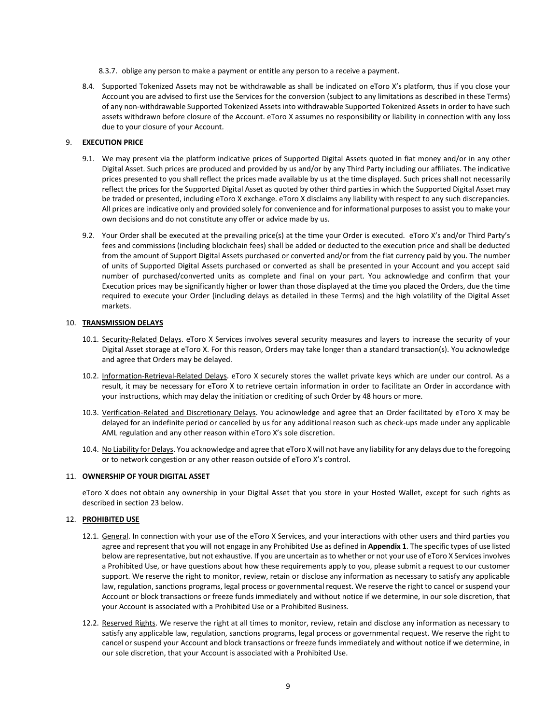- 8.3.7. oblige any person to make a payment or entitle any person to a receive a payment.
- 8.4. Supported Tokenized Assets may not be withdrawable as shall be indicated on eToro X's platform, thus if you close your Account you are advised to first use the Services for the conversion (subject to any limitations as described in these Terms) of any non-withdrawable Supported Tokenized Assets into withdrawable Supported Tokenized Assets in order to have such assets withdrawn before closure of the Account. eToro X assumes no responsibility or liability in connection with any loss due to your closure of your Account.

# 9. **EXECUTION PRICE**

- 9.1. We may present via the platform indicative prices of Supported Digital Assets quoted in fiat money and/or in any other Digital Asset. Such prices are produced and provided by us and/or by any Third Party including our affiliates. The indicative prices presented to you shall reflect the prices made available by us at the time displayed. Such prices shall not necessarily reflect the prices for the Supported Digital Asset as quoted by other third parties in which the Supported Digital Asset may be traded or presented, including eToro X exchange. eToro X disclaims any liability with respect to any such discrepancies. All prices are indicative only and provided solely for convenience and for informational purposes to assist you to make your own decisions and do not constitute any offer or advice made by us.
- 9.2. Your Order shall be executed at the prevailing price(s) at the time your Order is executed. eToro X's and/or Third Party's fees and commissions (including blockchain fees) shall be added or deducted to the execution price and shall be deducted from the amount of Support Digital Assets purchased or converted and/or from the fiat currency paid by you. The number of units of Supported Digital Assets purchased or converted as shall be presented in your Account and you accept said number of purchased/converted units as complete and final on your part. You acknowledge and confirm that your Execution prices may be significantly higher or lower than those displayed at the time you placed the Orders, due the time required to execute your Order (including delays as detailed in these Terms) and the high volatility of the Digital Asset markets.

## 10. **TRANSMISSION DELAYS**

- 10.1. Security-Related Delays. eToro X Services involves several security measures and layers to increase the security of your Digital Asset storage at eToro X. For this reason, Orders may take longer than a standard transaction(s). You acknowledge and agree that Orders may be delayed.
- 10.2. Information-Retrieval-Related Delays. eToro X securely stores the wallet private keys which are under our control. As a result, it may be necessary for eToro X to retrieve certain information in order to facilitate an Order in accordance with your instructions, which may delay the initiation or crediting of such Order by 48 hours or more.
- 10.3. Verification-Related and Discretionary Delays. You acknowledge and agree that an Order facilitated by eToro X may be delayed for an indefinite period or cancelled by us for any additional reason such as check-ups made under any applicable AML regulation and any other reason within eToro X's sole discretion.
- 10.4. No Liability for Delays. You acknowledge and agree that eToro X will not have any liability for any delays due to the foregoing or to network congestion or any other reason outside of eToro X's control.

## 11. **OWNERSHIP OF YOUR DIGITAL ASSET**

eToro X does not obtain any ownership in your Digital Asset that you store in your Hosted Wallet, except for such rights as described in section 23 below.

## 12. **PROHIBITED USE**

- 12.1. General. In connection with your use of the eToro X Services, and your interactions with other users and third parties you agree and represent that you will not engage in any [Prohibited Use](https://www.coinbase.com/legal/user_agreement?country=uk#appendix-1:-prohibited-businesses-and-prohibited-use) as defined in **Appendix 1**. The specific types of use listed below are representative, but not exhaustive. If you are uncertain as to whether or not your use of eToro X Services involves a Prohibited Use, or have questions about how these requirements apply to you, please submit a request to our customer support. We reserve the right to monitor, review, retain or disclose any information as necessary to satisfy any applicable law, regulation, sanctions programs, legal process or governmental request. We reserve the right to cancel or suspend your Account or block transactions or freeze funds immediately and without notice if we determine, in our sole discretion, that your Account is associated with a Prohibited Use or a Prohibited Business.
- 12.2. Reserved Rights. We reserve the right at all times to monitor, review, retain and disclose any information as necessary to satisfy any applicable law, regulation, sanctions programs, legal process or governmental request. We reserve the right to cancel or suspend your Account and block transactions or freeze funds immediately and without notice if we determine, in our sole discretion, that your Account is associated with a Prohibited Use.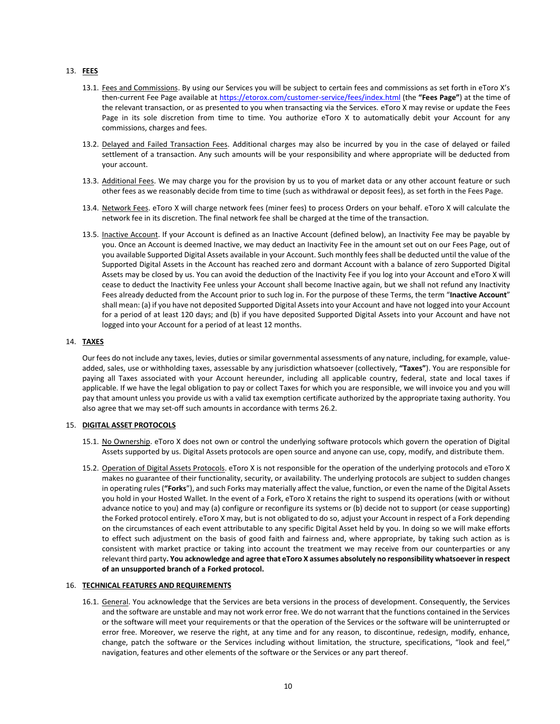# 13. **FEES**

- 13.1. Fees and Commissions. By using our Services you will be subject to certain fees and commissions as set forth in eToro X's then-current Fee Page available at<https://etorox.com/customer-service/fees/index.html> (the **"Fees Page"**) at the time of the relevant transaction, or as presented to you when transacting via the Services. eToro X may revise or update the Fees Page in its sole discretion from time to time. You authorize eToro X to automatically debit your Account for any commissions, charges and fees.
- 13.2. Delayed and Failed Transaction Fees. Additional charges may also be incurred by you in the case of delayed or failed settlement of a transaction. Any such amounts will be your responsibility and where appropriate will be deducted from your account.
- 13.3. Additional Fees. We may charge you for the provision by us to you of market data or any other account feature or such other fees as we reasonably decide from time to time (such as withdrawal or deposit fees), as set forth in the Fees Page.
- 13.4. Network Fees. eToro X will charge network fees (miner fees) to process Orders on your behalf. eToro X will calculate the network fee in its discretion. The final network fee shall be charged at the time of the transaction.
- 13.5. Inactive Account. If your Account is defined as an Inactive Account (defined below), an Inactivity Fee may be payable by you. Once an Account is deemed Inactive, we may deduct an Inactivity Fee in the amount set out on our Fees Page, out of you available Supported Digital Assets available in your Account. Such monthly fees shall be deducted until the value of the Supported Digital Assets in the Account has reached zero and dormant Account with a balance of zero Supported Digital Assets may be closed by us. You can avoid the deduction of the Inactivity Fee if you log into your Account and eToro X will cease to deduct the Inactivity Fee unless your Account shall become Inactive again, but we shall not refund any Inactivity Fees already deducted from the Account prior to such log in. For the purpose of these Terms, the term "**Inactive Account**" shall mean: (a) if you have not deposited Supported Digital Assets into your Account and have not logged into your Account for a period of at least 120 days; and (b) if you have deposited Supported Digital Assets into your Account and have not logged into your Account for a period of at least 12 months.

# 14. **TAXES**

Our fees do not include any taxes, levies, duties or similar governmental assessments of any nature, including, for example, valueadded, sales, use or withholding taxes, assessable by any jurisdiction whatsoever (collectively, **"Taxes"**). You are responsible for paying all Taxes associated with your Account hereunder, including all applicable country, federal, state and local taxes if applicable. If we have the legal obligation to pay or collect Taxes for which you are responsible, we will invoice you and you will pay that amount unless you provide us with a valid tax exemption certificate authorized by the appropriate taxing authority. You also agree that we may set-off such amounts in accordance with terms 26.2.

## 15. **DIGITAL ASSET PROTOCOLS**

- 15.1. No Ownership. eToro X does not own or control the underlying software protocols which govern the operation of Digital Assets supported by us. Digital Assets protocols are open source and anyone can use, copy, modify, and distribute them.
- 15.2. Operation of Digital Assets Protocols. eToro X is not responsible for the operation of the underlying protocols and eToro X makes no guarantee of their functionality, security, or availability. The underlying protocols are subject to sudden changes in operating rules (**"Forks**"), and such Forks may materially affect the value, function, or even the name of the Digital Assets you hold in your Hosted Wallet. In the event of a Fork, eToro X retains the right to suspend its operations (with or without advance notice to you) and may (a) configure or reconfigure its systems or (b) decide not to support (or cease supporting) the Forked protocol entirely. eToro X may, but is not obligated to do so, adjust your Account in respect of a Fork depending on the circumstances of each event attributable to any specific Digital Asset held by you. In doing so we will make efforts to effect such adjustment on the basis of good faith and fairness and, where appropriate, by taking such action as is consistent with market practice or taking into account the treatment we may receive from our counterparties or any relevant third party**. You acknowledge and agree that eToro X assumes absolutely no responsibility whatsoever in respect of an unsupported branch of a Forked protocol.**

## 16. **TECHNICAL FEATURES AND REQUIREMENTS**

16.1. General. You acknowledge that the Services are beta versions in the process of development. Consequently, the Services and the software are unstable and may not work error free. We do not warrant that the functions contained in the Services or the software will meet your requirements or that the operation of the Services or the software will be uninterrupted or error free. Moreover, we reserve the right, at any time and for any reason, to discontinue, redesign, modify, enhance, change, patch the software or the Services including without limitation, the structure, specifications, "look and feel," navigation, features and other elements of the software or the Services or any part thereof.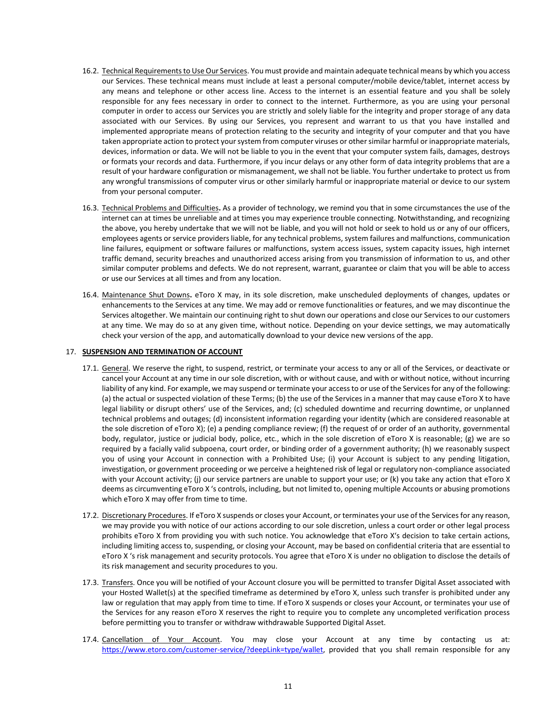- 16.2. Technical Requirements to Use Our Services. You must provide and maintain adequate technical means by which you access our Services. These technical means must include at least a personal computer/mobile device/tablet, internet access by any means and telephone or other access line. Access to the internet is an essential feature and you shall be solely responsible for any fees necessary in order to connect to the internet. Furthermore, as you are using your personal computer in order to access our Services you are strictly and solely liable for the integrity and proper storage of any data associated with our Services. By using our Services, you represent and warrant to us that you have installed and implemented appropriate means of protection relating to the security and integrity of your computer and that you have taken appropriate action to protect your system from computer viruses or other similar harmful or inappropriate materials, devices, information or data. We will not be liable to you in the event that your computer system fails, damages, destroys or formats your records and data. Furthermore, if you incur delays or any other form of data integrity problems that are a result of your hardware configuration or mismanagement, we shall not be liable. You further undertake to protect us from any wrongful transmissions of computer virus or other similarly harmful or inappropriate material or device to our system from your personal computer.
- 16.3. Technical Problems and Difficulties**.** As a provider of technology, we remind you that in some circumstances the use of the internet can at times be unreliable and at times you may experience trouble connecting. Notwithstanding, and recognizing the above, you hereby undertake that we will not be liable, and you will not hold or seek to hold us or any of our officers, employees agents or service providers liable, for any technical problems, system failures and malfunctions, communication line failures, equipment or software failures or malfunctions, system access issues, system capacity issues, high internet traffic demand, security breaches and unauthorized access arising from you transmission of information to us, and other similar computer problems and defects. We do not represent, warrant, guarantee or claim that you will be able to access or use our Services at all times and from any location.
- 16.4. Maintenance Shut Downs**.** eToro X may, in its sole discretion, make unscheduled deployments of changes, updates or enhancements to the Services at any time. We may add or remove functionalities or features, and we may discontinue the Services altogether. We maintain our continuing right to shut down our operations and close our Services to our customers at any time. We may do so at any given time, without notice. Depending on your device settings, we may automatically check your version of the app, and automatically download to your device new versions of the app.

# 17. **SUSPENSION AND TERMINATION OF ACCOUNT**

- 17.1. General. We reserve the right, to suspend, restrict, or terminate your access to any or all of the Services, or deactivate or cancel your Account at any time in our sole discretion, with or without cause, and with or without notice, without incurring liability of any kind. For example, we may suspend or terminate your access to or use of the Services for any of the following: (a) the actual or suspected violation of these Terms; (b) the use of the Services in a manner that may cause eToro X to have legal liability or disrupt others' use of the Services, and; (c) scheduled downtime and recurring downtime, or unplanned technical problems and outages; (d) inconsistent information regarding your identity (which are considered reasonable at the sole discretion of eToro X); (e) a pending compliance review; (f) the request of or order of an authority, governmental body, regulator, justice or judicial body, police, etc., which in the sole discretion of eToro X is reasonable; (g) we are so required by a facially valid subpoena, court order, or binding order of a government authority; (h) we reasonably suspect you of using your Account in connection with a [Prohibited](https://www.coinbase.com/legal/user_agreement?country=uk#appendix-1:-prohibited-businesses-and-prohibited-use) Use; (i) your Account is subject to any pending litigation, investigation, or government proceeding or we perceive a heightened risk of legal or regulatory non-compliance associated with your Account activity; (j) our service partners are unable to support your use; or (k) you take any action that eToro X deems as circumventing eToro X 's controls, including, but not limited to, opening multiple Accounts or abusing promotions which eToro X may offer from time to time.
- 17.2. Discretionary Procedures. If eToro X suspends or closes your Account, or terminates your use of the Services for any reason, we may provide you with notice of our actions according to our sole discretion, unless a court order or other legal process prohibits eToro X from providing you with such notice. You acknowledge that eToro X's decision to take certain actions, including limiting access to, suspending, or closing your Account, may be based on confidential criteria that are essential to eToro X 's risk management and security protocols. You agree that eToro X is under no obligation to disclose the details of its risk management and security procedures to you.
- 17.3. Transfers. Once you will be notified of your Account closure you will be permitted to transfer Digital Asset associated with your Hosted Wallet(s) at the specified timeframe as determined by eToro X, unless such transfer is prohibited under any law or regulation that may apply from time to time. If eToro X suspends or closes your Account, or terminates your use of the Services for any reason eToro X reserves the right to require you to complete any uncompleted verification process before permitting you to transfer or withdraw withdrawable Supported Digital Asset.
- 17.4. Cancellation of Your Account. You may close your Account at any time by contacting us at: [https://www.etoro.com/customer-service/?deepLink=type/wallet,](https://www.google.com/url?q=https://www.etoro.com/customer-service/?deepLink%3Dtype/wallet&sa=D&source=hangouts&ust=1547041971520000&usg=AFQjCNGO-sBISCiUtfQhhkTr-M0KgxVUnw) provided that you shall remain responsible for any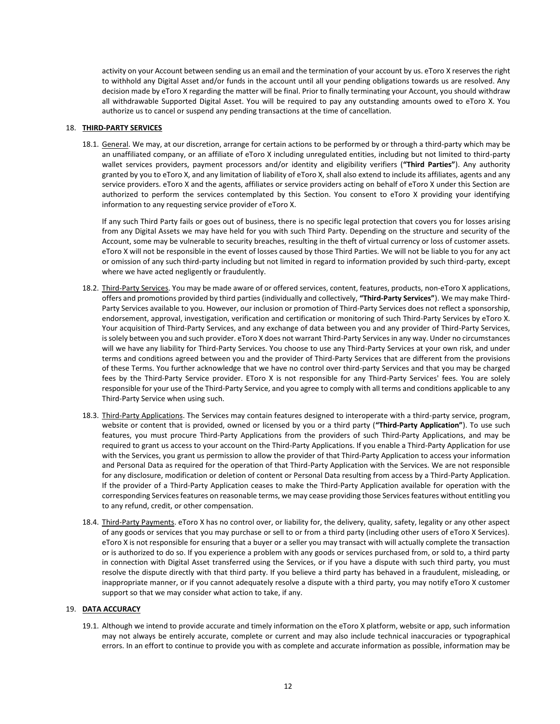activity on your Account between sending us an email and the termination of your account by us. eToro X reserves the right to withhold any Digital Asset and/or funds in the account until all your pending obligations towards us are resolved. Any decision made by eToro X regarding the matter will be final. Prior to finally terminating your Account, you should withdraw all withdrawable Supported Digital Asset. You will be required to pay any outstanding amounts owed to eToro X. You authorize us to cancel or suspend any pending transactions at the time of cancellation.

## 18. **THIRD-PARTY SERVICES**

18.1. General. We may, at our discretion, arrange for certain actions to be performed by or through a third-party which may be an unaffiliated company, or an affiliate of eToro X including unregulated entities, including but not limited to third-party wallet services providers, payment processors and/or identity and eligibility verifiers (**"Third Parties"**). Any authority granted by you to eToro X, and any limitation of liability of eToro X, shall also extend to include its affiliates, agents and any service providers. eToro X and the agents, affiliates or service providers acting on behalf of eToro X under this Section are authorized to perform the services contemplated by this Section. You consent to eToro X providing your identifying information to any requesting service provider of eToro X.

If any such Third Party fails or goes out of business, there is no specific legal protection that covers you for losses arising from any Digital Assets we may have held for you with such Third Party. Depending on the structure and security of the Account, some may be vulnerable to security breaches, resulting in the theft of virtual currency or loss of customer assets. eToro X will not be responsible in the event of losses caused by those Third Parties. We will not be liable to you for any act or omission of any such third-party including but not limited in regard to information provided by such third-party, except where we have acted negligently or fraudulently.

- 18.2. Third-Party Services. You may be made aware of or offered services, content, features, products, non-eToro X applications, offers and promotions provided by third parties (individually and collectively, **"Third-Party Services"**). We may make Third-Party Services available to you. However, our inclusion or promotion of Third-Party Services does not reflect a sponsorship, endorsement, approval, investigation, verification and certification or monitoring of such Third-Party Services by eToro X. Your acquisition of Third-Party Services, and any exchange of data between you and any provider of Third-Party Services, is solely between you and such provider. eToro X does not warrant Third-Party Services in any way. Under no circumstances will we have any liability for Third-Party Services. You choose to use any Third-Party Services at your own risk, and under terms and conditions agreed between you and the provider of Third-Party Services that are different from the provisions of these Terms. You further acknowledge that we have no control over third-party Services and that you may be charged fees by the Third-Party Service provider. EToro X is not responsible for any Third-Party Services' fees. You are solely responsible for your use of the Third-Party Service, and you agree to comply with all terms and conditions applicable to any Third-Party Service when using such.
- 18.3. Third-Party Applications. The Services may contain features designed to interoperate with a third-party service, program, website or content that is provided, owned or licensed by you or a third party (**"Third-Party Application"**). To use such features, you must procure Third-Party Applications from the providers of such Third-Party Applications, and may be required to grant us access to your account on the Third-Party Applications. If you enable a Third-Party Application for use with the Services, you grant us permission to allow the provider of that Third-Party Application to access your information and Personal Data as required for the operation of that Third-Party Application with the Services. We are not responsible for any disclosure, modification or deletion of content or Personal Data resulting from access by a Third-Party Application. If the provider of a Third-Party Application ceases to make the Third-Party Application available for operation with the corresponding Services features on reasonable terms, we may cease providing those Services features without entitling you to any refund, credit, or other compensation.
- 18.4. Third-Party Payments. eToro X has no control over, or liability for, the delivery, quality, safety, legality or any other aspect of any goods or services that you may purchase or sell to or from a third party (including other users of eToro X Services). eToro X is not responsible for ensuring that a buyer or a seller you may transact with will actually complete the transaction or is authorized to do so. If you experience a problem with any goods or services purchased from, or sold to, a third party in connection with Digital Asset transferred using the Services, or if you have a dispute with such third party, you must resolve the dispute directly with that third party. If you believe a third party has behaved in a fraudulent, misleading, or inappropriate manner, or if you cannot adequately resolve a dispute with a third party, you may notify eToro X customer support so that we may consider what action to take, if any.

## 19. **DATA ACCURACY**

19.1. Although we intend to provide accurate and timely information on the eToro X platform, website or app, such information may not always be entirely accurate, complete or current and may also include technical inaccuracies or typographical errors. In an effort to continue to provide you with as complete and accurate information as possible, information may be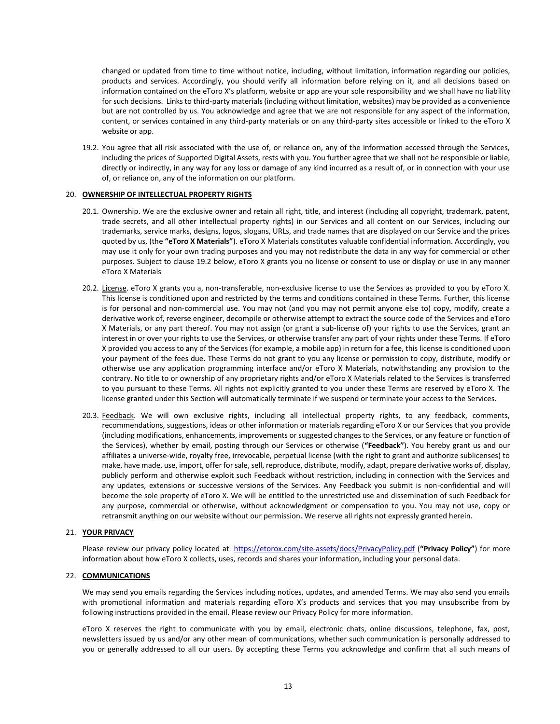changed or updated from time to time without notice, including, without limitation, information regarding our policies, products and services. Accordingly, you should verify all information before relying on it, and all decisions based on information contained on the eToro X's platform, website or app are your sole responsibility and we shall have no liability for such decisions. Links to third-party materials (including without limitation, websites) may be provided as a convenience but are not controlled by us. You acknowledge and agree that we are not responsible for any aspect of the information, content, or services contained in any third-party materials or on any third-party sites accessible or linked to the eToro X website or app.

19.2. You agree that all risk associated with the use of, or reliance on, any of the information accessed through the Services, including the prices of Supported Digital Assets, rests with you. You further agree that we shall not be responsible or liable, directly or indirectly, in any way for any loss or damage of any kind incurred as a result of, or in connection with your use of, or reliance on, any of the information on our platform.

## 20. **OWNERSHIP OF INTELLECTUAL PROPERTY RIGHTS**

- 20.1. Ownership. We are the exclusive owner and retain all right, title, and interest (including all copyright, trademark, patent, trade secrets, and all other intellectual property rights) in our Services and all content on our Services, including our trademarks, service marks, designs, logos, slogans, URLs, and trade names that are displayed on our Service and the prices quoted by us, (the **"eToro X Materials"**). eToro X Materials constitutes valuable confidential information. Accordingly, you may use it only for your own trading purposes and you may not redistribute the data in any way for commercial or other purposes. Subject to clause 19.2 below, eToro X grants you no license or consent to use or display or use in any manner eToro X Materials
- 20.2. License. eToro X grants you a, non-transferable, non-exclusive license to use the Services as provided to you by eToro X. This license is conditioned upon and restricted by the terms and conditions contained in these Terms. Further, this license is for personal and non-commercial use. You may not (and you may not permit anyone else to) copy, modify, create a derivative work of, reverse engineer, decompile or otherwise attempt to extract the source code of the Services and eToro X Materials, or any part thereof. You may not assign (or grant a sub-license of) your rights to use the Services, grant an interest in or over your rights to use the Services, or otherwise transfer any part of your rights under these Terms. If eToro X provided you access to any of the Services (for example, a mobile app) in return for a fee, this license is conditioned upon your payment of the fees due. These Terms do not grant to you any license or permission to copy, distribute, modify or otherwise use any application programming interface and/or eToro X Materials, notwithstanding any provision to the contrary. No title to or ownership of any proprietary rights and/or eToro X Materials related to the Services is transferred to you pursuant to these Terms. All rights not explicitly granted to you under these Terms are reserved by eToro X. The license granted under this Section will automatically terminate if we suspend or terminate your access to the Services.
- 20.3. Feedback. We will own exclusive rights, including all intellectual property rights, to any feedback, comments, recommendations, suggestions, ideas or other information or materials regarding eToro X or our Services that you provide (including modifications, enhancements, improvements or suggested changes to the Services, or any feature or function of the Services), whether by email, posting through our Services or otherwise (**"Feedback"**). You hereby grant us and our affiliates a universe-wide, royalty free, irrevocable, perpetual license (with the right to grant and authorize sublicenses) to make, have made, use, import, offer for sale, sell, reproduce, distribute, modify, adapt, prepare derivative works of, display, publicly perform and otherwise exploit such Feedback without restriction, including in connection with the Services and any updates, extensions or successive versions of the Services. Any Feedback you submit is non-confidential and will become the sole property of eToro X. We will be entitled to the unrestricted use and dissemination of such Feedback for any purpose, commercial or otherwise, without acknowledgment or compensation to you. You may not use, copy or retransmit anything on our website without our permission. We reserve all rights not expressly granted herein.

#### 21. **YOUR PRIVACY**

Please review our privacy policy located at <https://etorox.com/site-assets/docs/PrivacyPolicy.pdf> (**"Privacy Policy"**) for more information about how eToro X collects, uses, records and shares your information, including your personal data.

#### 22. **COMMUNICATIONS**

We may send you emails regarding the Services including notices, updates, and amended Terms. We may also send you emails with promotional information and materials regarding eToro X's products and services that you may unsubscribe from by following instructions provided in the email. Please review our Privacy Policy for more information.

eToro X reserves the right to communicate with you by email, electronic chats, online discussions, telephone, fax, post, newsletters issued by us and/or any other mean of communications, whether such communication is personally addressed to you or generally addressed to all our users. By accepting these Terms you acknowledge and confirm that all such means of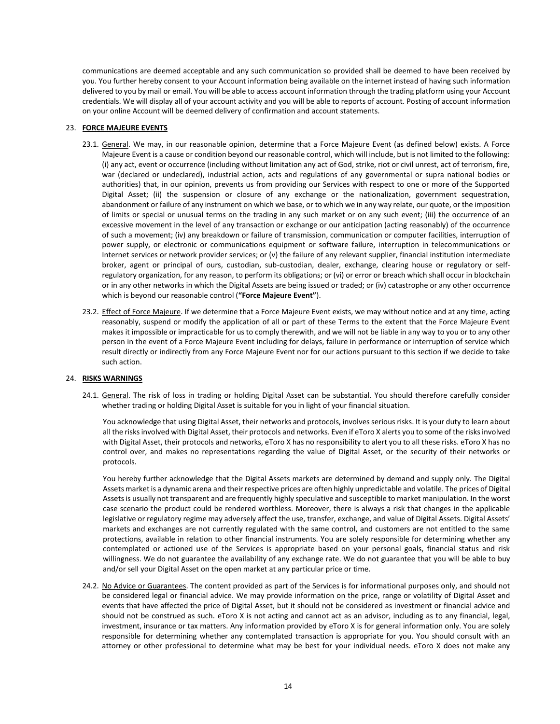communications are deemed acceptable and any such communication so provided shall be deemed to have been received by you. You further hereby consent to your Account information being available on the internet instead of having such information delivered to you by mail or email. You will be able to access account information through the trading platform using your Account credentials. We will display all of your account activity and you will be able to reports of account. Posting of account information on your online Account will be deemed delivery of confirmation and account statements.

# 23. **FORCE MAJEURE EVENTS**

- 23.1. General. We may, in our reasonable opinion, determine that a Force Majeure Event (as defined below) exists. A Force Majeure Event is a cause or condition beyond our reasonable control, which will include, but is not limited to the following: (i) any act, event or occurrence (including without limitation any act of God, strike, riot or civil unrest, act of terrorism, fire, war (declared or undeclared), industrial action, acts and regulations of any governmental or supra national bodies or authorities) that, in our opinion, prevents us from providing our Services with respect to one or more of the Supported Digital Asset; (ii) the suspension or closure of any exchange or the nationalization, government sequestration, abandonment or failure of any instrument on which we base, or to which we in any way relate, our quote, or the imposition of limits or special or unusual terms on the trading in any such market or on any such event; (iii) the occurrence of an excessive movement in the level of any transaction or exchange or our anticipation (acting reasonably) of the occurrence of such a movement; (iv) any breakdown or failure of transmission, communication or computer facilities, interruption of power supply, or electronic or communications equipment or software failure, interruption in telecommunications or Internet services or network provider services; or (v) the failure of any relevant supplier, financial institution intermediate broker, agent or principal of ours, custodian, sub-custodian, dealer, exchange, clearing house or regulatory or selfregulatory organization, for any reason, to perform its obligations; or (vi) or error or breach which shall occur in blockchain or in any other networks in which the Digital Assets are being issued or traded; or (iv) catastrophe or any other occurrence which is beyond our reasonable control (**"Force Majeure Event"**).
- 23.2. Effect of Force Majeure. If we determine that a Force Majeure Event exists, we may without notice and at any time, acting reasonably, suspend or modify the application of all or part of these Terms to the extent that the Force Majeure Event makes it impossible or impracticable for us to comply therewith, and we will not be liable in any way to you or to any other person in the event of a Force Majeure Event including for delays, failure in performance or interruption of service which result directly or indirectly from any Force Majeure Event nor for our actions pursuant to this section if we decide to take such action.

## 24. **RISKS WARNINGS**

24.1. General. The risk of loss in trading or holding Digital Asset can be substantial. You should therefore carefully consider whether trading or holding Digital Asset is suitable for you in light of your financial situation.

You acknowledge that using Digital Asset, their networks and protocols, involves serious risks. It is your duty to learn about all the risks involved with Digital Asset, their protocols and networks. Even if eToro X alerts you to some of the risks involved with Digital Asset, their protocols and networks, eToro X has no responsibility to alert you to all these risks. eToro X has no control over, and makes no representations regarding the value of Digital Asset, or the security of their networks or protocols.

You hereby further acknowledge that the Digital Assets markets are determined by demand and supply only. The Digital Assets market is a dynamic arena and their respective prices are often highly unpredictable and volatile. The prices of Digital Assets is usually not transparent and are frequently highly speculative and susceptible to market manipulation. In the worst case scenario the product could be rendered worthless. Moreover, there is always a risk that changes in the applicable legislative or regulatory regime may adversely affect the use, transfer, exchange, and value of Digital Assets. Digital Assets' markets and exchanges are not currently regulated with the same control, and customers are not entitled to the same protections, available in relation to other financial instruments. You are solely responsible for determining whether any contemplated or actioned use of the Services is appropriate based on your personal goals, financial status and risk willingness. We do not guarantee the availability of any exchange rate. We do not guarantee that you will be able to buy and/or sell your Digital Asset on the open market at any particular price or time.

24.2. No Advice or Guarantees. The content provided as part of the Services is for informational purposes only, and should not be considered legal or financial advice. We may provide information on the price, range or volatility of Digital Asset and events that have affected the price of Digital Asset, but it should not be considered as investment or financial advice and should not be construed as such. eToro X is not acting and cannot act as an advisor, including as to any financial, legal, investment, insurance or tax matters. Any information provided by eToro X is for general information only. You are solely responsible for determining whether any contemplated transaction is appropriate for you. You should consult with an attorney or other professional to determine what may be best for your individual needs. eToro X does not make any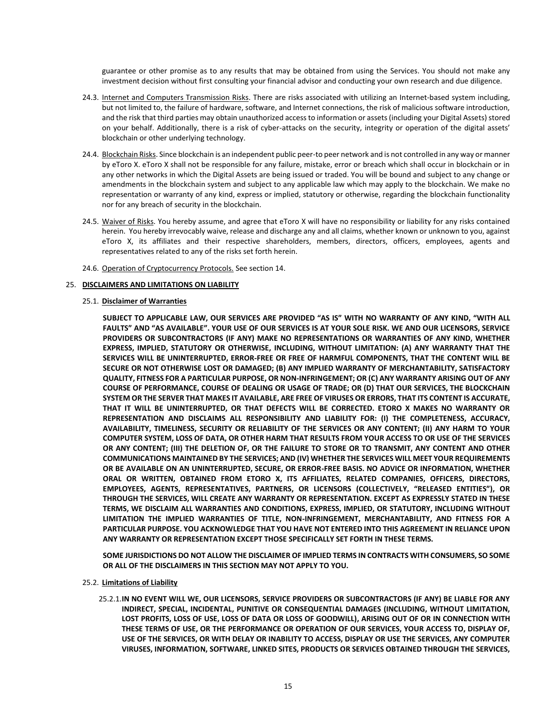guarantee or other promise as to any results that may be obtained from using the Services. You should not make any investment decision without first consulting your financial advisor and conducting your own research and due diligence.

- 24.3. Internet and Computers Transmission Risks. There are risks associated with utilizing an Internet-based system including, but not limited to, the failure of hardware, software, and Internet connections, the risk of malicious software introduction, and the risk that third parties may obtain unauthorized access to information or assets (including your Digital Assets) stored on your behalf. Additionally, there is a risk of cyber-attacks on the security, integrity or operation of the digital assets' blockchain or other underlying technology.
- 24.4. Blockchain Risks. Since blockchain is an independent public peer-to peer network and is not controlled in any way or manner by eToro X. eToro X shall not be responsible for any failure, mistake, error or breach which shall occur in blockchain or in any other networks in which the Digital Assets are being issued or traded. You will be bound and subject to any change or amendments in the blockchain system and subject to any applicable law which may apply to the blockchain. We make no representation or warranty of any kind, express or implied, statutory or otherwise, regarding the blockchain functionality nor for any breach of security in the blockchain.
- 24.5. Waiver of Risks. You hereby assume, and agree that eToro X will have no responsibility or liability for any risks contained herein. You hereby irrevocably waive, release and discharge any and all claims, whether known or unknown to you, against eToro X, its affiliates and their respective shareholders, members, directors, officers, employees, agents and representatives related to any of the risks set forth herein.
- 24.6. Operation of Cryptocurrency Protocols. See section 14.

## 25. **DISCLAIMERS AND LIMITATIONS ON LIABILITY**

# 25.1. **Disclaimer of Warranties**

**SUBJECT TO APPLICABLE LAW, OUR SERVICES ARE PROVIDED "AS IS" WITH NO WARRANTY OF ANY KIND, "WITH ALL FAULTS" AND "AS AVAILABLE". YOUR USE OF OUR SERVICES IS AT YOUR SOLE RISK. WE AND OUR LICENSORS, SERVICE PROVIDERS OR SUBCONTRACTORS (IF ANY) MAKE NO REPRESENTATIONS OR WARRANTIES OF ANY KIND, WHETHER EXPRESS, IMPLIED, STATUTORY OR OTHERWISE, INCLUDING, WITHOUT LIMITATION: (A) ANY WARRANTY THAT THE SERVICES WILL BE UNINTERRUPTED, ERROR-FREE OR FREE OF HARMFUL COMPONENTS, THAT THE CONTENT WILL BE SECURE OR NOT OTHERWISE LOST OR DAMAGED; (B) ANY IMPLIED WARRANTY OF MERCHANTABILITY, SATISFACTORY QUALITY, FITNESS FOR A PARTICULAR PURPOSE, OR NON-INFRINGEMENT; OR (C) ANY WARRANTY ARISING OUT OF ANY COURSE OF PERFORMANCE, COURSE OF DEALING OR USAGE OF TRADE; OR (D) THAT OUR SERVICES, THE BLOCKCHAIN SYSTEM OR THE SERVER THAT MAKES IT AVAILABLE, ARE FREE OF VIRUSES OR ERRORS, THAT ITS CONTENT IS ACCURATE, THAT IT WILL BE UNINTERRUPTED, OR THAT DEFECTS WILL BE CORRECTED. ETORO X MAKES NO WARRANTY OR REPRESENTATION AND DISCLAIMS ALL RESPONSIBILITY AND LIABILITY FOR: (I) THE COMPLETENESS, ACCURACY, AVAILABILITY, TIMELINESS, SECURITY OR RELIABILITY OF THE SERVICES OR ANY CONTENT; (II) ANY HARM TO YOUR COMPUTER SYSTEM, LOSS OF DATA, OR OTHER HARM THAT RESULTS FROM YOUR ACCESS TO OR USE OF THE SERVICES OR ANY CONTENT; (III) THE DELETION OF, OR THE FAILURE TO STORE OR TO TRANSMIT, ANY CONTENT AND OTHER COMMUNICATIONS MAINTAINED BY THE SERVICES; AND (IV) WHETHER THE SERVICES WILL MEET YOUR REQUIREMENTS OR BE AVAILABLE ON AN UNINTERRUPTED, SECURE, OR ERROR-FREE BASIS. NO ADVICE OR INFORMATION, WHETHER ORAL OR WRITTEN, OBTAINED FROM ETORO X, ITS AFFILIATES, RELATED COMPANIES, OFFICERS, DIRECTORS, EMPLOYEES, AGENTS, REPRESENTATIVES, PARTNERS, OR LICENSORS (COLLECTIVELY, "RELEASED ENTITIES"), OR THROUGH THE SERVICES, WILL CREATE ANY WARRANTY OR REPRESENTATION. EXCEPT AS EXPRESSLY STATED IN THESE TERMS, WE DISCLAIM ALL WARRANTIES AND CONDITIONS, EXPRESS, IMPLIED, OR STATUTORY, INCLUDING WITHOUT LIMITATION THE IMPLIED WARRANTIES OF TITLE, NON-INFRINGEMENT, MERCHANTABILITY, AND FITNESS FOR A PARTICULAR PURPOSE. YOU ACKNOWLEDGE THAT YOU HAVE NOT ENTERED INTO THIS AGREEMENT IN RELIANCE UPON ANY WARRANTY OR REPRESENTATION EXCEPT THOSE SPECIFICALLY SET FORTH IN THESE TERMS.** 

**SOME JURISDICTIONS DO NOT ALLOW THE DISCLAIMER OF IMPLIED TERMS IN CONTRACTS WITH CONSUMERS, SO SOME OR ALL OF THE DISCLAIMERS IN THIS SECTION MAY NOT APPLY TO YOU.**

# 25.2. **Limitations of Liability**

25.2.1.**IN NO EVENT WILL WE, OUR LICENSORS, SERVICE PROVIDERS OR SUBCONTRACTORS (IF ANY) BE LIABLE FOR ANY INDIRECT, SPECIAL, INCIDENTAL, PUNITIVE OR CONSEQUENTIAL DAMAGES (INCLUDING, WITHOUT LIMITATION, LOST PROFITS, LOSS OF USE, LOSS OF DATA OR LOSS OF GOODWILL), ARISING OUT OF OR IN CONNECTION WITH THESE TERMS OF USE, OR THE PERFORMANCE OR OPERATION OF OUR SERVICES, YOUR ACCESS TO, DISPLAY OF, USE OF THE SERVICES, OR WITH DELAY OR INABILITY TO ACCESS, DISPLAY OR USE THE SERVICES, ANY COMPUTER VIRUSES, INFORMATION, SOFTWARE, LINKED SITES, PRODUCTS OR SERVICES OBTAINED THROUGH THE SERVICES,**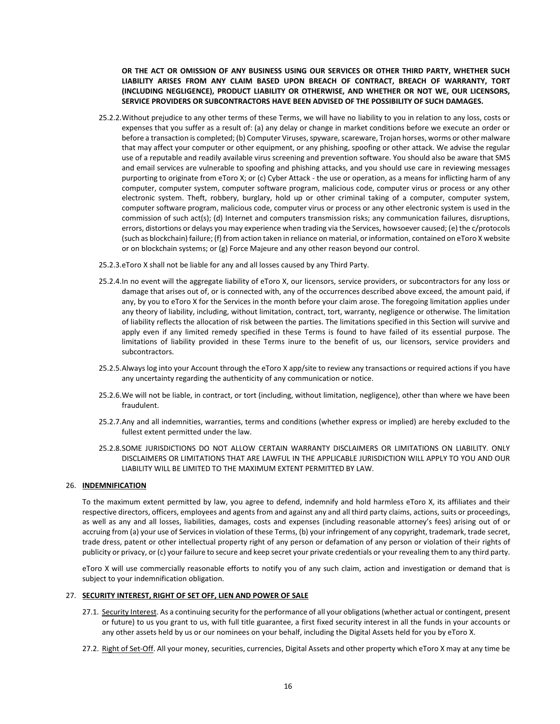**OR THE ACT OR OMISSION OF ANY BUSINESS USING OUR SERVICES OR OTHER THIRD PARTY, WHETHER SUCH LIABILITY ARISES FROM ANY CLAIM BASED UPON BREACH OF CONTRACT, BREACH OF WARRANTY, TORT (INCLUDING NEGLIGENCE), PRODUCT LIABILITY OR OTHERWISE, AND WHETHER OR NOT WE, OUR LICENSORS, SERVICE PROVIDERS OR SUBCONTRACTORS HAVE BEEN ADVISED OF THE POSSIBILITY OF SUCH DAMAGES.**

- 25.2.2.Without prejudice to any other terms of these Terms, we will have no liability to you in relation to any loss, costs or expenses that you suffer as a result of: (a) any delay or change in market conditions before we execute an order or before a transaction is completed; (b) Computer Viruses, spyware, scareware, Trojan horses, worms or other malware that may affect your computer or other equipment, or any phishing, spoofing or other attack. We advise the regular use of a reputable and readily available virus screening and prevention software. You should also be aware that SMS and email services are vulnerable to spoofing and phishing attacks, and you should use care in reviewing messages purporting to originate from eToro X; or (c) Cyber Attack - the use or operation, as a means for inflicting harm of any computer, computer system, computer software program, malicious code, computer virus or process or any other electronic system. Theft, robbery, burglary, hold up or other criminal taking of a computer, computer system, computer software program, malicious code, computer virus or process or any other electronic system is used in the commission of such act(s); (d) Internet and computers transmission risks; any communication failures, disruptions, errors, distortions or delays you may experience when trading via the Services, howsoever caused; (e) the c/protocols (such as blockchain) failure; (f) from action taken in reliance on material, or information, contained on eToro X website or on blockchain systems; or (g) Force Majeure and any other reason beyond our control.
- 25.2.3.eToro X shall not be liable for any and all losses caused by any Third Party.
- 25.2.4.In no event will the aggregate liability of eToro X, our licensors, service providers, or subcontractors for any loss or damage that arises out of, or is connected with, any of the occurrences described above exceed, the amount paid, if any, by you to eToro X for the Services in the month before your claim arose. The foregoing limitation applies under any theory of liability, including, without limitation, contract, tort, warranty, negligence or otherwise. The limitation of liability reflects the allocation of risk between the parties. The limitations specified in this Section will survive and apply even if any limited remedy specified in these Terms is found to have failed of its essential purpose. The limitations of liability provided in these Terms inure to the benefit of us, our licensors, service providers and subcontractors.
- 25.2.5.Always log into your Account through the eToro X app/site to review any transactions or required actions if you have any uncertainty regarding the authenticity of any communication or notice.
- 25.2.6.We will not be liable, in contract, or tort (including, without limitation, negligence), other than where we have been fraudulent.
- 25.2.7.Any and all indemnities, warranties, terms and conditions (whether express or implied) are hereby excluded to the fullest extent permitted under the law.
- 25.2.8.SOME JURISDICTIONS DO NOT ALLOW CERTAIN WARRANTY DISCLAIMERS OR LIMITATIONS ON LIABILITY. ONLY DISCLAIMERS OR LIMITATIONS THAT ARE LAWFUL IN THE APPLICABLE JURISDICTION WILL APPLY TO YOU AND OUR LIABILITY WILL BE LIMITED TO THE MAXIMUM EXTENT PERMITTED BY LAW.

# 26. **INDEMNIFICATION**

To the maximum extent permitted by law, you agree to defend, indemnify and hold harmless eToro X, its affiliates and their respective directors, officers, employees and agents from and against any and all third party claims, actions, suits or proceedings, as well as any and all losses, liabilities, damages, costs and expenses (including reasonable attorney's fees) arising out of or accruing from (a) your use of Services in violation of these Terms, (b) your infringement of any copyright, trademark, trade secret, trade dress, patent or other intellectual property right of any person or defamation of any person or violation of their rights of publicity or privacy, or (c) your failure to secure and keep secret your private credentials or your revealing them to any third party.

eToro X will use commercially reasonable efforts to notify you of any such claim, action and investigation or demand that is subject to your indemnification obligation.

#### 27. **SECURITY INTEREST, RIGHT OF SET OFF, LIEN AND POWER OF SALE**

- 27.1. Security Interest. As a continuing security for the performance of all your obligations (whether actual or contingent, present or future) to us you grant to us, with full title guarantee, a first fixed security interest in all the funds in your accounts or any other assets held by us or our nominees on your behalf, including the Digital Assets held for you by eToro X.
- 27.2. Right of Set-Off. All your money, securities, currencies, Digital Assets and other property which eToro X may at any time be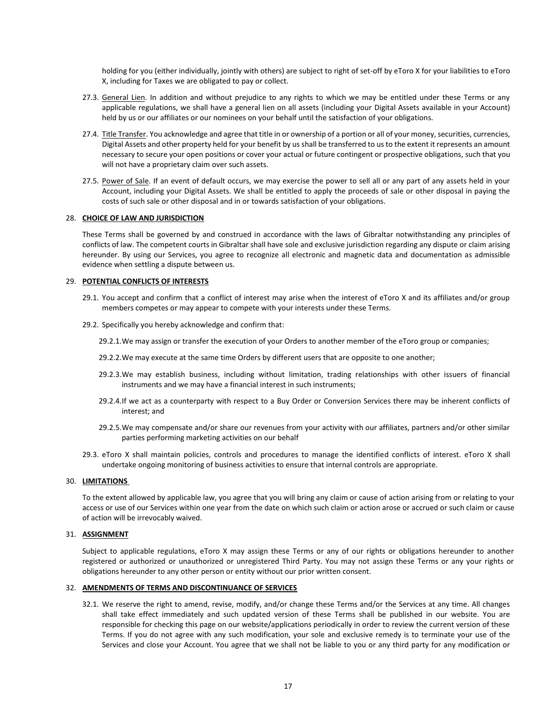holding for you (either individually, jointly with others) are subject to right of set-off by eToro X for your liabilities to eToro X, including for Taxes we are obligated to pay or collect.

- 27.3. General Lien. In addition and without prejudice to any rights to which we may be entitled under these Terms or any applicable regulations, we shall have a general lien on all assets (including your Digital Assets available in your Account) held by us or our affiliates or our nominees on your behalf until the satisfaction of your obligations.
- 27.4. Title Transfer. You acknowledge and agree that title in or ownership of a portion or all of your money, securities, currencies, Digital Assets and other property held for your benefit by us shall be transferred to us to the extent it represents an amount necessary to secure your open positions or cover your actual or future contingent or prospective obligations, such that you will not have a proprietary claim over such assets.
- 27.5. Power of Sale. If an event of default occurs, we may exercise the power to sell all or any part of any assets held in your Account, including your Digital Assets. We shall be entitled to apply the proceeds of sale or other disposal in paying the costs of such sale or other disposal and in or towards satisfaction of your obligations.

## 28. **CHOICE OF LAW AND JURISDICTION**

These Terms shall be governed by and construed in accordance with the laws of Gibraltar notwithstanding any principles of conflicts of law. The competent courts in Gibraltar shall have sole and exclusive jurisdiction regarding any dispute or claim arising hereunder. By using our Services, you agree to recognize all electronic and magnetic data and documentation as admissible evidence when settling a dispute between us.

# 29. **POTENTIAL CONFLICTS OF INTERESTS**

- 29.1. You accept and confirm that a conflict of interest may arise when the interest of eToro X and its affiliates and/or group members competes or may appear to compete with your interests under these Terms.
- 29.2. Specifically you hereby acknowledge and confirm that:
	- 29.2.1.We may assign or transfer the execution of your Orders to another member of the eToro group or companies;
	- 29.2.2.We may execute at the same time Orders by different users that are opposite to one another;
	- 29.2.3.We may establish business, including without limitation, trading relationships with other issuers of financial instruments and we may have a financial interest in such instruments;
	- 29.2.4.If we act as a counterparty with respect to a Buy Order or Conversion Services there may be inherent conflicts of interest; and
	- 29.2.5.We may compensate and/or share our revenues from your activity with our affiliates, partners and/or other similar parties performing marketing activities on our behalf
- 29.3. eToro X shall maintain policies, controls and procedures to manage the identified conflicts of interest. eToro X shall undertake ongoing monitoring of business activities to ensure that internal controls are appropriate.

# 30. **LIMITATIONS**

To the extent allowed by applicable law, you agree that you will bring any claim or cause of action arising from or relating to your access or use of our Services within one year from the date on which such claim or action arose or accrued or such claim or cause of action will be irrevocably waived.

## 31. **ASSIGNMENT**

Subject to applicable regulations, eToro X may assign these Terms or any of our rights or obligations hereunder to another registered or authorized or unauthorized or unregistered Third Party. You may not assign these Terms or any your rights or obligations hereunder to any other person or entity without our prior written consent.

#### 32. **AMENDMENTS OF TERMS AND DISCONTINUANCE OF SERVICES**

32.1. We reserve the right to amend, revise, modify, and/or change these Terms and/or the Services at any time. All changes shall take effect immediately and such updated version of these Terms shall be published in our website. You are responsible for checking this page on our website/applications periodically in order to review the current version of these Terms. If you do not agree with any such modification, your sole and exclusive remedy is to terminate your use of the Services and close your Account. You agree that we shall not be liable to you or any third party for any modification or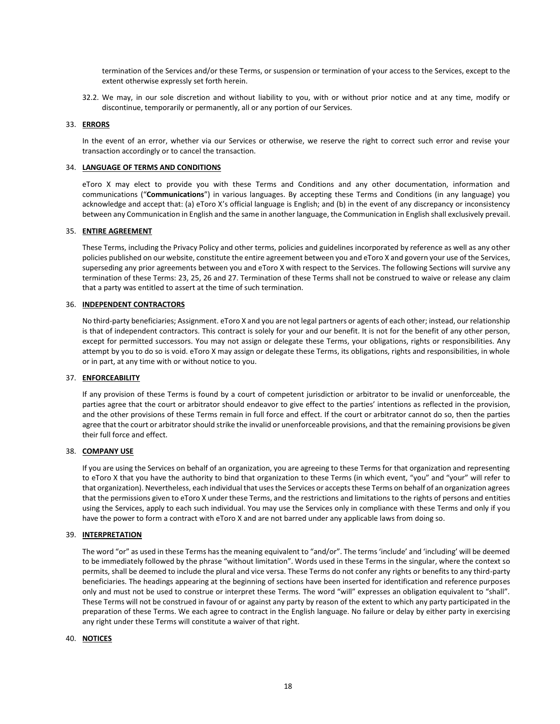termination of the Services and/or these Terms, or suspension or termination of your access to the Services, except to the extent otherwise expressly set forth herein.

32.2. We may, in our sole discretion and without liability to you, with or without prior notice and at any time, modify or discontinue, temporarily or permanently, all or any portion of our Services.

#### 33. **ERRORS**

In the event of an error, whether via our Services or otherwise, we reserve the right to correct such error and revise your transaction accordingly or to cancel the transaction.

#### 34. **LANGUAGE OF TERMS AND CONDITIONS**

eToro X may elect to provide you with these Terms and Conditions and any other documentation, information and communications ("**Communications**") in various languages. By accepting these Terms and Conditions (in any language) you acknowledge and accept that: (a) eToro X's official language is English; and (b) in the event of any discrepancy or inconsistency between any Communication in English and the same in another language, the Communication in English shall exclusively prevail.

#### 35. **ENTIRE AGREEMENT**

These Terms, including the Privacy Policy and other terms, policies and guidelines incorporated by reference as well as any other policies published on our website, constitute the entire agreement between you and eToro X and govern your use of the Services, superseding any prior agreements between you and eToro X with respect to the Services. The following Sections will survive any termination of these Terms: 23, 25, 26 and 27. Termination of these Terms shall not be construed to waive or release any claim that a party was entitled to assert at the time of such termination.

#### 36. **INDEPENDENT CONTRACTORS**

No third-party beneficiaries; Assignment. eToro X and you are not legal partners or agents of each other; instead, our relationship is that of independent contractors. This contract is solely for your and our benefit. It is not for the benefit of any other person, except for permitted successors. You may not assign or delegate these Terms, your obligations, rights or responsibilities. Any attempt by you to do so is void. eToro X may assign or delegate these Terms, its obligations, rights and responsibilities, in whole or in part, at any time with or without notice to you.

#### 37. **ENFORCEABILITY**

If any provision of these Terms is found by a court of competent jurisdiction or arbitrator to be invalid or unenforceable, the parties agree that the court or arbitrator should endeavor to give effect to the parties' intentions as reflected in the provision, and the other provisions of these Terms remain in full force and effect. If the court or arbitrator cannot do so, then the parties agree that the court or arbitrator should strike the invalid or unenforceable provisions, and that the remaining provisions be given their full force and effect.

# 38. **COMPANY USE**

If you are using the Services on behalf of an organization, you are agreeing to these Terms for that organization and representing to eToro X that you have the authority to bind that organization to these Terms (in which event, "you" and "your" will refer to that organization). Nevertheless, each individual that uses the Services or accepts these Terms on behalf of an organization agrees that the permissions given to eToro X under these Terms, and the restrictions and limitations to the rights of persons and entities using the Services, apply to each such individual. You may use the Services only in compliance with these Terms and only if you have the power to form a contract with eToro X and are not barred under any applicable laws from doing so.

#### 39. **INTERPRETATION**

The word "or" as used in these Terms has the meaning equivalent to "and/or". The terms 'include' and 'including' will be deemed to be immediately followed by the phrase "without limitation". Words used in these Terms in the singular, where the context so permits, shall be deemed to include the plural and vice versa. These Terms do not confer any rights or benefits to any third-party beneficiaries. The headings appearing at the beginning of sections have been inserted for identification and reference purposes only and must not be used to construe or interpret these Terms. The word "will" expresses an obligation equivalent to "shall". These Terms will not be construed in favour of or against any party by reason of the extent to which any party participated in the preparation of these Terms. We each agree to contract in the English language. No failure or delay by either party in exercising any right under these Terms will constitute a waiver of that right.

## 40. **NOTICES**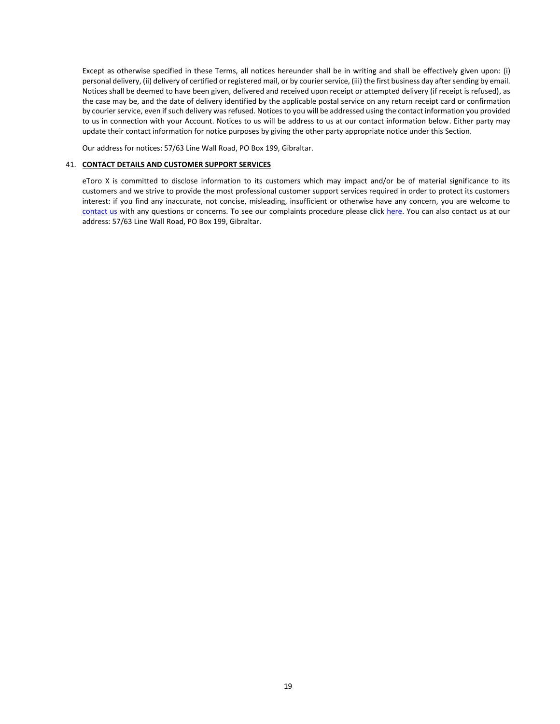Except as otherwise specified in these Terms, all notices hereunder shall be in writing and shall be effectively given upon: (i) personal delivery, (ii) delivery of certified or registered mail, or by courier service, (iii) the first business day after sending by email. Notices shall be deemed to have been given, delivered and received upon receipt or attempted delivery (if receipt is refused), as the case may be, and the date of delivery identified by the applicable postal service on any return receipt card or confirmation by courier service, even if such delivery was refused. Notices to you will be addressed using the contact information you provided to us in connection with your Account. Notices to us will be address to us at our contact information below. Either party may update their contact information for notice purposes by giving the other party appropriate notice under this Section.

Our address for notices: 57/63 Line Wall Road, PO Box 199, Gibraltar.

## 41. **CONTACT DETAILS AND CUSTOMER SUPPORT SERVICES**

eToro X is committed to disclose information to its customers which may impact and/or be of material significance to its customers and we strive to provide the most professional customer support services required in order to protect its customers interest: if you find any inaccurate, not concise, misleading, insufficient or otherwise have any concern, you are welcome to [contact us](https://www.etoro.com/customer-service/?deepLink=type/wallet) with any questions or concerns. To see our complaints procedure please click [here.](https://etorox.com/customer-service/legal/wallet-oc/) You can also contact us at our address: 57/63 Line Wall Road, PO Box 199, Gibraltar.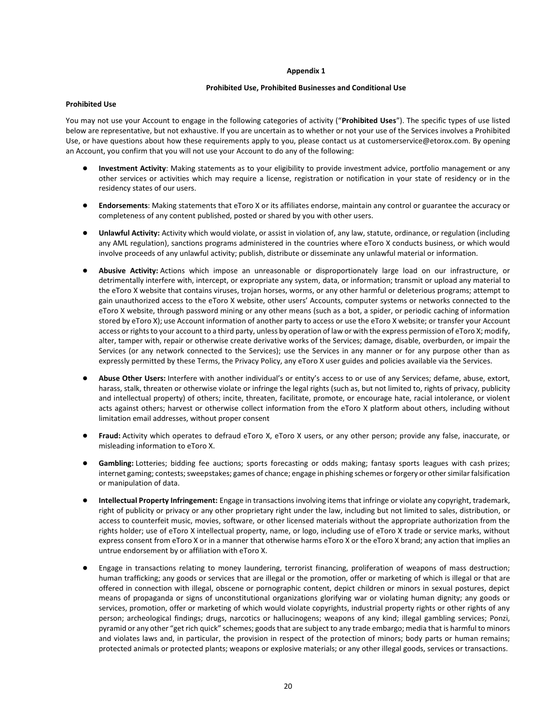#### **Appendix 1**

# **Prohibited Use, Prohibited Businesses and Conditional Use**

#### **Prohibited Use**

You may not use your Account to engage in the following categories of activity ("**Prohibited Uses**"). The specific types of use listed below are representative, but not exhaustive. If you are uncertain as to whether or not your use of the Services involves a Prohibited Use, or have questions about how these requirements apply to you, please contact us at customerservice@etorox.com. By opening an Account, you confirm that you will not use your Account to do any of the following:

- **Investment Activity**: Making statements as to your eligibility to provide investment advice, portfolio management or any other services or activities which may require a license, registration or notification in your state of residency or in the residency states of our users.
- **Endorsements**: Making statements that eToro X or its affiliates endorse, maintain any control or guarantee the accuracy or completeness of any content published, posted or shared by you with other users.
- **Unlawful Activity:** Activity which would violate, or assist in violation of, any law, statute, ordinance, or regulation (including any AML regulation), sanctions programs administered in the countries where eToro X conducts business, or which would involve proceeds of any unlawful activity; publish, distribute or disseminate any unlawful material or information.
- **Abusive Activity:** Actions which impose an unreasonable or disproportionately large load on our infrastructure, or detrimentally interfere with, intercept, or expropriate any system, data, or information; transmit or upload any material to the eToro X website that contains viruses, trojan horses, worms, or any other harmful or deleterious programs; attempt to gain unauthorized access to the eToro X website, other users' Accounts, computer systems or networks connected to the eToro X website, through password mining or any other means (such as a bot, a spider, or periodic caching of information stored by eToro X); use Account information of another party to access or use the eToro X website; or transfer your Account access or rights to your account to a third party, unless by operation of law or with the express permission of eToro X; modify, alter, tamper with, repair or otherwise create derivative works of the Services; damage, disable, overburden, or impair the Services (or any network connected to the Services); use the Services in any manner or for any purpose other than as expressly permitted by these Terms, the Privacy Policy, any eToro X user guides and policies available via the Services.
- **Abuse Other Users:** Interfere with another individual's or entity's access to or use of any Services; defame, abuse, extort, harass, stalk, threaten or otherwise violate or infringe the legal rights (such as, but not limited to, rights of privacy, publicity and intellectual property) of others; incite, threaten, facilitate, promote, or encourage hate, racial intolerance, or violent acts against others; harvest or otherwise collect information from the eToro X platform about others, including without limitation email addresses, without proper consent
- Fraud: Activity which operates to defraud eToro X, eToro X users, or any other person; provide any false, inaccurate, or misleading information to eToro X.
- Gambling: Lotteries; bidding fee auctions; sports forecasting or odds making; fantasy sports leagues with cash prizes; internet gaming; contests; sweepstakes; games of chance; engage in phishing schemes or forgery or other similar falsification or manipulation of data.
- **Intellectual Property Infringement:** Engage in transactions involving items that infringe or violate any copyright, trademark, right of publicity or privacy or any other proprietary right under the law, including but not limited to sales, distribution, or access to counterfeit music, movies, software, or other licensed materials without the appropriate authorization from the rights holder; use of eToro X intellectual property, name, or logo, including use of eToro X trade or service marks, without express consent from eToro X or in a manner that otherwise harms eToro X or the eToro X brand; any action that implies an untrue endorsement by or affiliation with eToro X.
- Engage in transactions relating to money laundering, terrorist financing, proliferation of weapons of mass destruction; human trafficking; any goods or services that are illegal or the promotion, offer or marketing of which is illegal or that are offered in connection with illegal, obscene or pornographic content, depict children or minors in sexual postures, depict means of propaganda or signs of unconstitutional organizations glorifying war or violating human dignity; any goods or services, promotion, offer or marketing of which would violate copyrights, industrial property rights or other rights of any person; archeological findings; drugs, narcotics or hallucinogens; weapons of any kind; illegal gambling services; Ponzi, pyramid or any other "get rich quick" schemes; goods that are subject to any trade embargo; media that is harmful to minors and violates laws and, in particular, the provision in respect of the protection of minors; body parts or human remains; protected animals or protected plants; weapons or explosive materials; or any other illegal goods, services or transactions.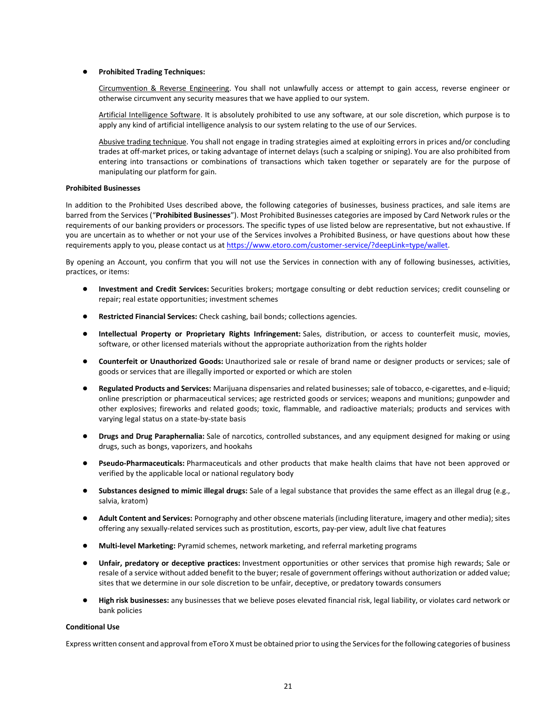## ● **Prohibited Trading Techniques:**

Circumvention & Reverse Engineering. You shall not unlawfully access or attempt to gain access, reverse engineer or otherwise circumvent any security measures that we have applied to our system.

Artificial Intelligence Software. It is absolutely prohibited to use any software, at our sole discretion, which purpose is to apply any kind of artificial intelligence analysis to our system relating to the use of our Services.

Abusive trading technique. You shall not engage in trading strategies aimed at exploiting errors in prices and/or concluding trades at off-market prices, or taking advantage of internet delays (such a scalping or sniping). You are also prohibited from entering into transactions or combinations of transactions which taken together or separately are for the purpose of manipulating our platform for gain.

#### **Prohibited Businesses**

In addition to the Prohibited Uses described above, the following categories of businesses, business practices, and sale items are barred from the Services ("**Prohibited Businesses**"). Most Prohibited Businesses categories are imposed by Card Network rules or the requirements of our banking providers or processors. The specific types of use listed below are representative, but not exhaustive. If you are uncertain as to whether or not your use of the Services involves a Prohibited Business, or have questions about how these requirements apply to you, please contact us at [https://www.etoro.com/customer-service/?deepLink=type/wallet.](https://www.google.com/url?q=https://www.etoro.com/customer-service/?deepLink%3Dtype/wallet&sa=D&source=hangouts&ust=1547041971520000&usg=AFQjCNGO-sBISCiUtfQhhkTr-M0KgxVUnw)

By opening an Account, you confirm that you will not use the Services in connection with any of following businesses, activities, practices, or items:

- **Investment and Credit Services:** Securities brokers; mortgage consulting or debt reduction services; credit counseling or repair; real estate opportunities; investment schemes
- Restricted Financial Services: Check cashing, bail bonds; collections agencies.
- **Intellectual Property or Proprietary Rights Infringement:** Sales, distribution, or access to counterfeit music, movies, software, or other licensed materials without the appropriate authorization from the rights holder
- **Counterfeit or Unauthorized Goods:** Unauthorized sale or resale of brand name or designer products or services; sale of goods or services that are illegally imported or exported or which are stolen
- **Regulated Products and Services:** Marijuana dispensaries and related businesses; sale of tobacco, e-cigarettes, and e-liquid; online prescription or pharmaceutical services; age restricted goods or services; weapons and munitions; gunpowder and other explosives; fireworks and related goods; toxic, flammable, and radioactive materials; products and services with varying legal status on a state-by-state basis
- **Drugs and Drug Paraphernalia:** Sale of narcotics, controlled substances, and any equipment designed for making or using drugs, such as bongs, vaporizers, and hookahs
- **Pseudo-Pharmaceuticals:** Pharmaceuticals and other products that make health claims that have not been approved or verified by the applicable local or national regulatory body
- **Substances designed to mimic illegal drugs:** Sale of a legal substance that provides the same effect as an illegal drug (e.g., salvia, kratom)
- **Adult Content and Services:** Pornography and other obscene materials (including literature, imagery and other media); sites offering any sexually-related services such as prostitution, escorts, pay-per view, adult live chat features
- **Multi-level Marketing:** Pyramid schemes, network marketing, and referral marketing programs
- **Unfair, predatory or deceptive practices:** Investment opportunities or other services that promise high rewards; Sale or resale of a service without added benefit to the buyer; resale of government offerings without authorization or added value; sites that we determine in our sole discretion to be unfair, deceptive, or predatory towards consumers
- **High risk businesses:** any businesses that we believe poses elevated financial risk, legal liability, or violates card network or bank policies

## **Conditional Use**

Express written consent and approval from eToro X must be obtained prior to using the Services for the following categories of business